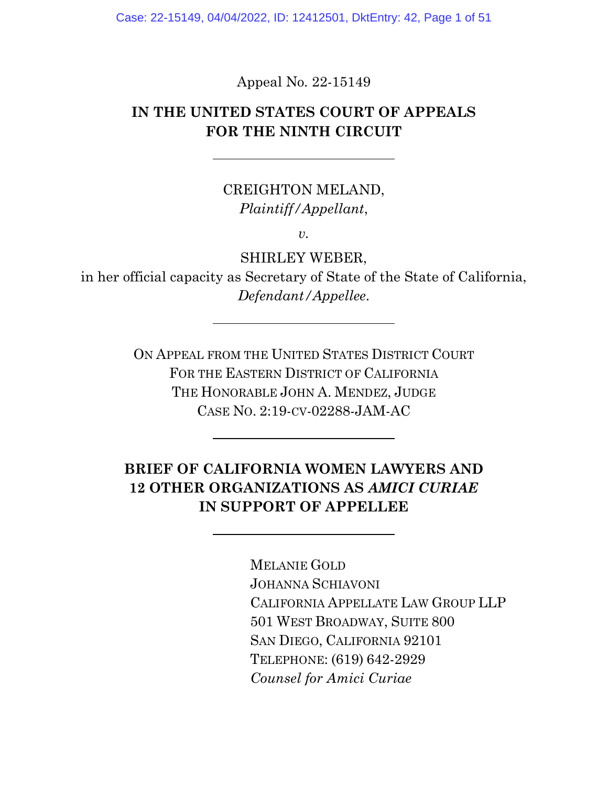Case: 22-15149, 04/04/2022, ID: 12412501, DktEntry: 42, Page 1 of 51

Appeal No. 22-15149

### **IN THE UNITED STATES COURT OF APPEALS FOR THE NINTH CIRCUIT**

## CREIGHTON MELAND, *Plaintiff/Appellant*,

*v.*

SHIRLEY WEBER,

in her official capacity as Secretary of State of the State of California, *Defendant/Appellee*.

> ON APPEAL FROM THE UNITED STATES DISTRICT COURT FOR THE EASTERN DISTRICT OF CALIFORNIA THE HONORABLE JOHN A. MENDEZ, JUDGE CASE NO. 2:19-CV-02288-JAM-AC

## **BRIEF OF CALIFORNIA WOMEN LAWYERS AND 12 OTHER ORGANIZATIONS AS** *AMICI CURIAE*  **IN SUPPORT OF APPELLEE**

MELANIE GOLD JOHANNA SCHIAVONI CALIFORNIA APPELLATE LAW GROUP LLP 501 WEST BROADWAY, SUITE 800 SAN DIEGO, CALIFORNIA 92101 TELEPHONE: (619) 642-2929 *Counsel for Amici Curiae*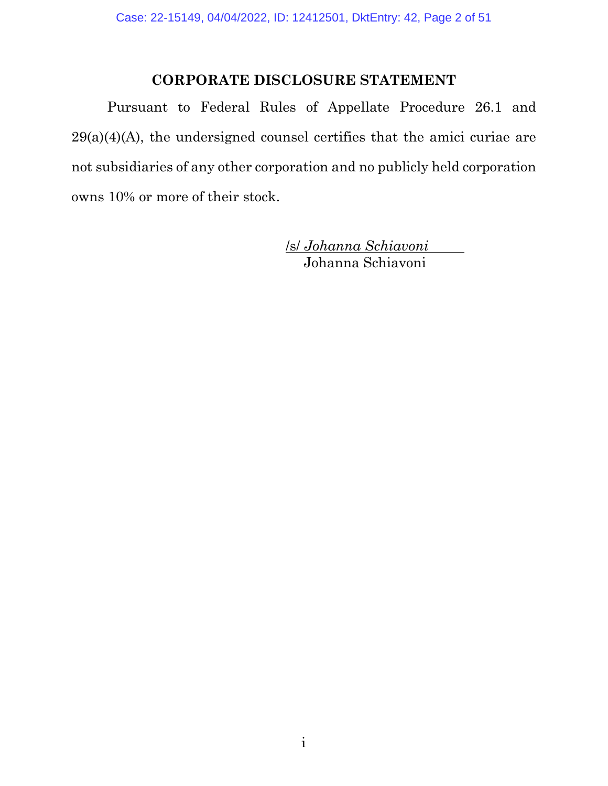### **CORPORATE DISCLOSURE STATEMENT**

<span id="page-1-0"></span>Pursuant to [Federal Rules of Appellate Procedure 26.1 and](https://www.westlaw.com/Document/ND4ECDFD0B97711D8983DF34406B5929B/View/FullText.html?transitionType=Default&contextData=(sc.Default)&VR=3.0&RS=da3.0)   $29(a)(4)(A)$ , the undersigned counsel certifies that the amici curiae are not subsidiaries of any other corporation and no publicly held corporation owns 10% or more of their stock.

> /s/ *Johanna Schiavoni* Johanna Schiavoni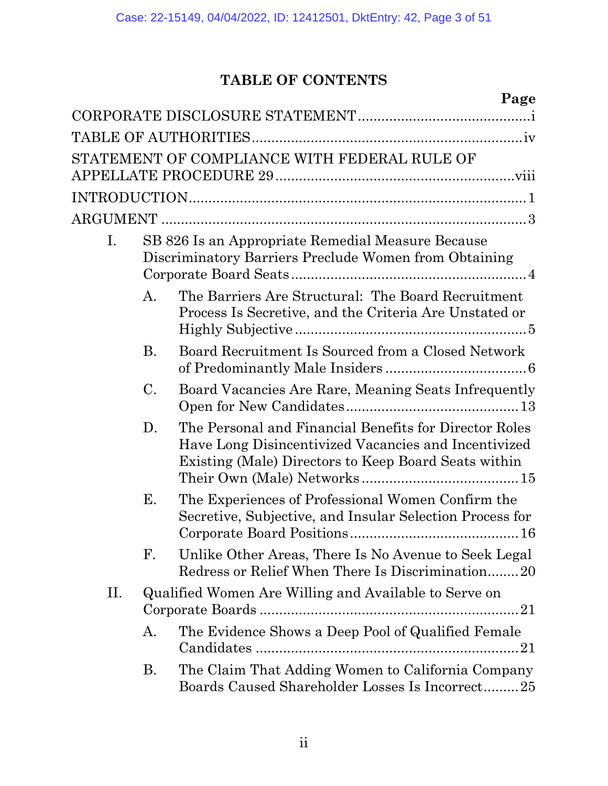# **TABLE OF CONTENTS**

|    |    | Page                                                                                                                                                                   |
|----|----|------------------------------------------------------------------------------------------------------------------------------------------------------------------------|
|    |    |                                                                                                                                                                        |
|    |    |                                                                                                                                                                        |
|    |    | STATEMENT OF COMPLIANCE WITH FEDERAL RULE OF                                                                                                                           |
|    |    |                                                                                                                                                                        |
|    |    |                                                                                                                                                                        |
| Ι. |    | SB 826 Is an Appropriate Remedial Measure Because<br>Discriminatory Barriers Preclude Women from Obtaining                                                             |
|    | A. | The Barriers Are Structural: The Board Recruitment<br>Process Is Secretive, and the Criteria Are Unstated or                                                           |
|    | В. | Board Recruitment Is Sourced from a Closed Network                                                                                                                     |
|    | C. | Board Vacancies Are Rare, Meaning Seats Infrequently                                                                                                                   |
|    | D. | The Personal and Financial Benefits for Director Roles<br>Have Long Disincentivized Vacancies and Incentivized<br>Existing (Male) Directors to Keep Board Seats within |
|    | Е. | The Experiences of Professional Women Confirm the<br>Secretive, Subjective, and Insular Selection Process for                                                          |
|    | F. | Unlike Other Areas, There Is No Avenue to Seek Legal<br>Redress or Relief When There Is Discrimination20                                                               |
| П. |    | Qualified Women Are Willing and Available to Serve on                                                                                                                  |
|    | A. | The Evidence Shows a Deep Pool of Qualified Female                                                                                                                     |
|    | В. | The Claim That Adding Women to California Company<br>Boards Caused Shareholder Losses Is Incorrect25                                                                   |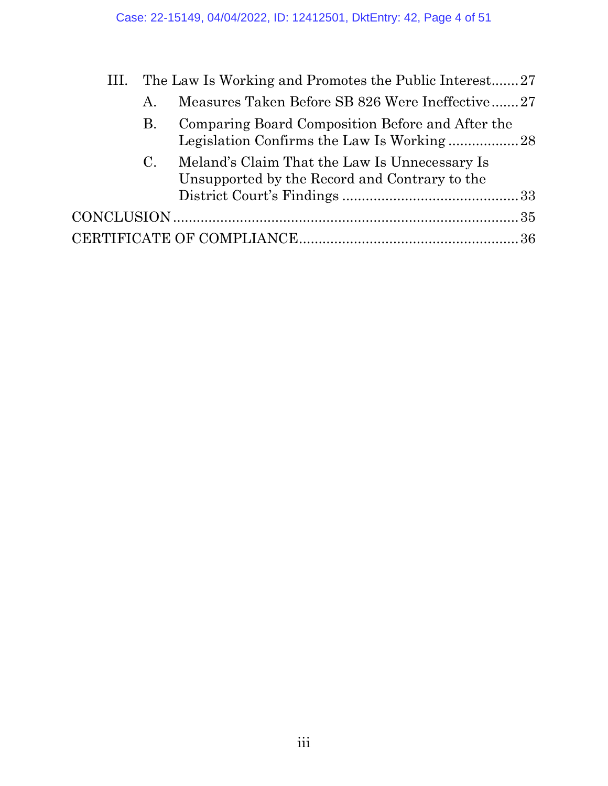| III. |             | The Law Is Working and Promotes the Public Interest27                                          |  |
|------|-------------|------------------------------------------------------------------------------------------------|--|
|      | A.          | Measures Taken Before SB 826 Were Ineffective27                                                |  |
|      | В.          | Comparing Board Composition Before and After the                                               |  |
|      | $C_{\cdot}$ | Meland's Claim That the Law Is Unnecessary Is<br>Unsupported by the Record and Contrary to the |  |
|      |             |                                                                                                |  |
|      |             |                                                                                                |  |
|      |             |                                                                                                |  |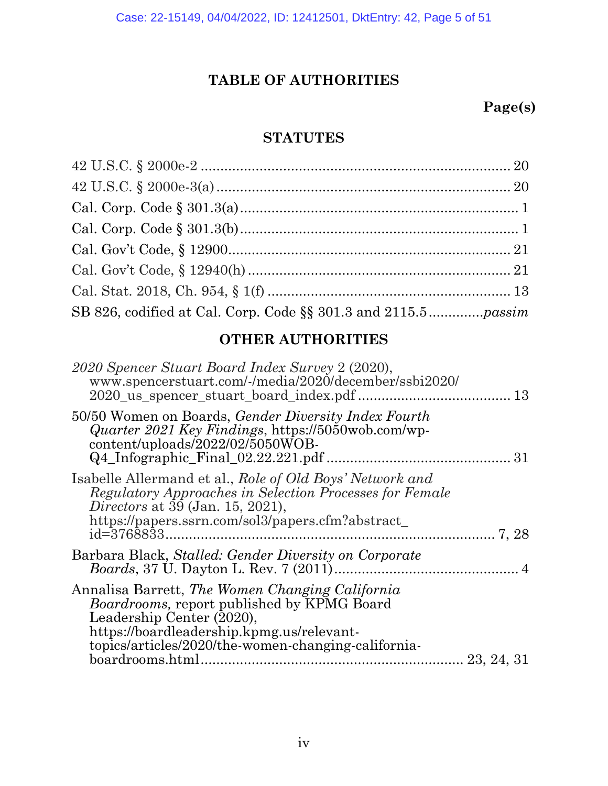## **TABLE OF AUTHORITIES**

## **Page(s)**

### **STATUTES**

## **OTHER AUTHORITIES**

| 2020 Spencer Stuart Board Index Survey 2 (2020),<br>www.spencerstuart.com/-/media/2020/december/ssbi2020/<br>2020_us_spencer_stuart_board_index.pdf<br>13                                                                                                |            |
|----------------------------------------------------------------------------------------------------------------------------------------------------------------------------------------------------------------------------------------------------------|------------|
| 50/50 Women on Boards, <i>Gender Diversity Index Fourth</i><br><i>Quarter 2021 Key Findings, https://5050wob.com/wp-</i><br>content/uploads/2022/02/5050WOB-                                                                                             | 31         |
| Isabelle Allermand et al., Role of Old Boys' Network and<br>Regulatory Approaches in Selection Processes for Female<br><i>Directors</i> at 39 (Jan. 15, 2021),<br>https://papers.ssrn.com/sol3/papers.cfm?abstract<br>id=3768833                         | 7, 28      |
| Barbara Black, Stalled: Gender Diversity on Corporate                                                                                                                                                                                                    |            |
| Annalisa Barrett, The Women Changing California<br><i>Boardrooms, report published by KPMG Board</i><br>Leadership Center (2020),<br>https://boardleadership.kpmg.us/relevant-<br>topics/articles/2020/the-women-changing-california-<br>boardrooms.html | 23, 24, 31 |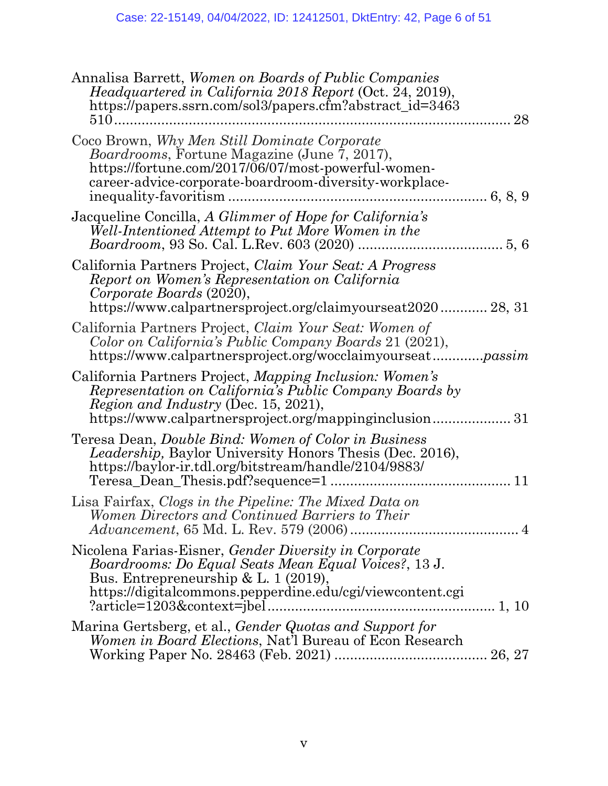| Annalisa Barrett, Women on Boards of Public Companies<br>Headquartered in California 2018 Report (Oct. 24, 2019),<br>https://papers.ssrn.com/sol3/papers.cfm?abstract_id=3463<br>$510$                                           | 28 |
|----------------------------------------------------------------------------------------------------------------------------------------------------------------------------------------------------------------------------------|----|
| Coco Brown, Why Men Still Dominate Corporate<br><i>Boardrooms</i> , Fortune Magazine (June 7, 2017),<br>https://fortune.com/2017/06/07/most-powerful-women-<br>career-advice-corporate-boardroom-diversity-workplace-<br>6, 8, 9 |    |
| Jacqueline Concilla, A Glimmer of Hope for California's<br>Well-Intentioned Attempt to Put More Women in the                                                                                                                     |    |
| California Partners Project, Claim Your Seat: A Progress<br>Report on Women's Representation on California<br>Corporate Boards (2020),<br>https://www.calpartnersproject.org/claimyourseat2020 28, 31                            |    |
| California Partners Project, Claim Your Seat: Women of<br>Color on California's Public Company Boards 21 (2021),<br>https://www.calpartnersproject.org/wocclaimyourseatpassim                                                    |    |
| California Partners Project, Mapping Inclusion: Women's<br>Representation on California's Public Company Boards by<br><i>Region and Industry (Dec. 15, 2021),</i><br>https://www.calpartnersproject.org/mappinginclusion31       |    |
| Teresa Dean, <i>Double Bind: Women of Color in Business</i><br><i>Leadership</i> , Baylor University Honors Thesis (Dec. 2016),<br>https://baylor-ir.tdl.org/bitstream/handle/2104/9883/                                         | 11 |
| Lisa Fairfax, Clogs in the Pipeline: The Mixed Data on<br>Women Directors and Continued Barriers to Their                                                                                                                        |    |
| Nicolena Farias-Eisner, Gender Diversity in Corporate<br>Boardrooms: Do Equal Seats Mean Equal Voices?, 13 J.<br>Bus. Entrepreneurship & L. 1 $(2019)$ ,<br>https://digitalcommons.pepperdine.edu/cgi/viewcontent.cgi            |    |
| Marina Gertsberg, et al., Gender Quotas and Support for<br><i>Women in Board Elections, Nat'l Bureau of Econ Research</i>                                                                                                        |    |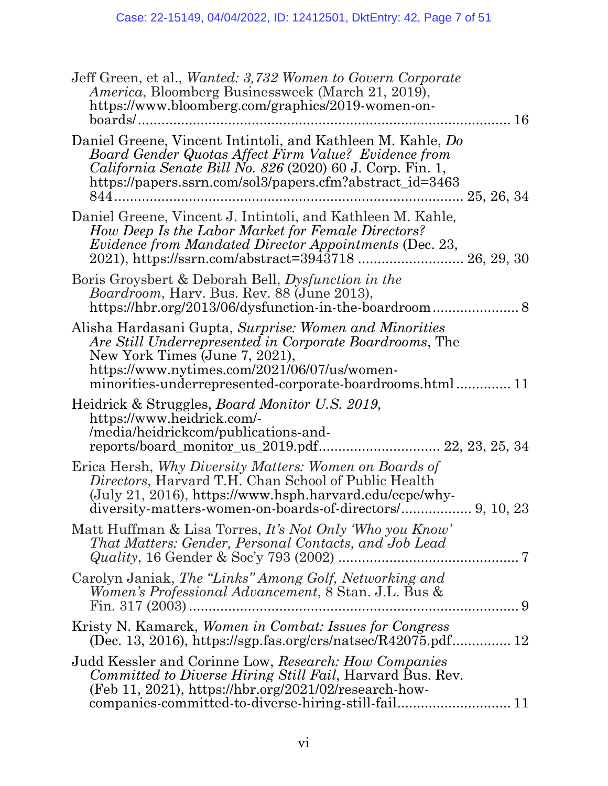| Jeff Green, et al., <i>Wanted: 3,732 Women to Govern Corporate</i><br><i>America</i> , Bloomberg Businessweek (March 21, 2019),<br>https://www.bloomberg.com/graphics/2019-women-on-                                                                |
|-----------------------------------------------------------------------------------------------------------------------------------------------------------------------------------------------------------------------------------------------------|
| 16<br>boards/                                                                                                                                                                                                                                       |
| Daniel Greene, Vincent Intintoli, and Kathleen M. Kahle, Do<br>Board Gender Quotas Affect Firm Value? Evidence from<br><i>California Senate Bill No. 826 (2020) 60 J. Corp. Fin. 1,</i><br>https://papers.ssrn.com/sol3/papers.cfm?abstract_id=3463 |
| Daniel Greene, Vincent J. Intintoli, and Kathleen M. Kahle,<br>How Deep Is the Labor Market for Female Directors?<br><i>Evidence from Mandated Director Appointments</i> (Dec. 23,                                                                  |
| Boris Groysbert & Deborah Bell, Dysfunction in the<br><i>Boardroom</i> , Harv. Bus. Rev. 88 (June 2013),                                                                                                                                            |
| Alisha Hardasani Gupta, Surprise: Women and Minorities<br>Are Still Underrepresented in Corporate Boardrooms, The<br>New York Times (June 7, 2021),<br>https://www.nytimes.com/2021/06/07/us/women-                                                 |
| Heidrick & Struggles, <i>Board Monitor U.S. 2019</i> ,<br>https://www.heidrick.com/-<br>/media/heidrickcom/publications-and-<br>reports/board_monitor_us_2019.pdf 22, 23, 25, 34                                                                    |
| Erica Hersh, Why Diversity Matters: Women on Boards of<br>Directors, Harvard T.H. Chan School of Public Health<br>(July 21, 2016), https://www.hsph.harvard.edu/ecpe/why-                                                                           |
| Matt Huffman & Lisa Torres, It's Not Only 'Who you Know'<br>That Matters: Gender, Personal Contacts, and Job Lead                                                                                                                                   |
| Carolyn Janiak, The "Links" Among Golf, Networking and<br>Women's Professional Advancement, 8 Stan. J.L. Bus &                                                                                                                                      |
| Kristy N. Kamarck, Women in Combat: Issues for Congress                                                                                                                                                                                             |
| Judd Kessler and Corinne Low, Research: How Companies<br>Committed to Diverse Hiring Still Fail, Harvard Bus. Rev.<br>(Feb 11, 2021), https://hbr.org/2021/02/research-how-                                                                         |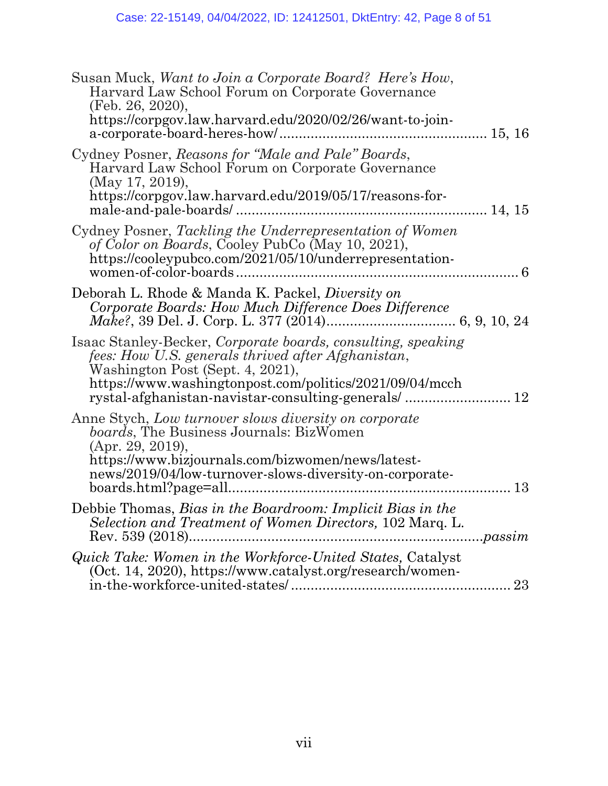| Susan Muck, Want to Join a Corporate Board? Here's How,<br>Harvard Law School Forum on Corporate Governance<br>(Feb. 26, 2020),<br>https://corpgov.law.harvard.edu/2020/02/26/want-to-join-                                                                              |
|--------------------------------------------------------------------------------------------------------------------------------------------------------------------------------------------------------------------------------------------------------------------------|
| Cydney Posner, Reasons for "Male and Pale" Boards,<br>Harvard Law School Forum on Corporate Governance<br>(May 17, 2019),<br>https://corpgov.law.harvard.edu/2019/05/17/reasons-for-                                                                                     |
| Cydney Posner, Tackling the Underrepresentation of Women<br>of Color on Boards, Cooley PubCo (May 10, 2021),<br>https://cooleypubco.com/2021/05/10/underrepresentation-                                                                                                  |
| Deborah L. Rhode & Manda K. Packel, <i>Diversity on</i><br>Corporate Boards: How Much Difference Does Difference                                                                                                                                                         |
| Isaac Stanley-Becker, Corporate boards, consulting, speaking<br>fees: How U.S. generals thrived after Afghanistan,<br>Washington Post (Sept. 4, 2021),<br>https://www.washingtonpost.com/politics/2021/09/04/mcch<br>rystal-afghanistan-navistar-consulting-generals/ 12 |
| Anne Stych, Low turnover slows diversity on corporate<br><i>boards</i> , The Business Journals: BizWomen<br>(Apr. 29, 2019),<br>https://www.bizjournals.com/bizwomen/news/latest-<br>news/2019/04/low-turnover-slows-diversity-on-corporate-<br>13                       |
| Debbie Thomas, Bias in the Boardroom: Implicit Bias in the<br>Selection and Treatment of Women Directors, 102 Marq. L.<br>Rev. 539 (2018)<br>passim                                                                                                                      |
| Quick Take: Women in the Workforce-United States, Catalyst<br>(Oct. 14, 2020), https://www.catalyst.org/research/women-<br>23                                                                                                                                            |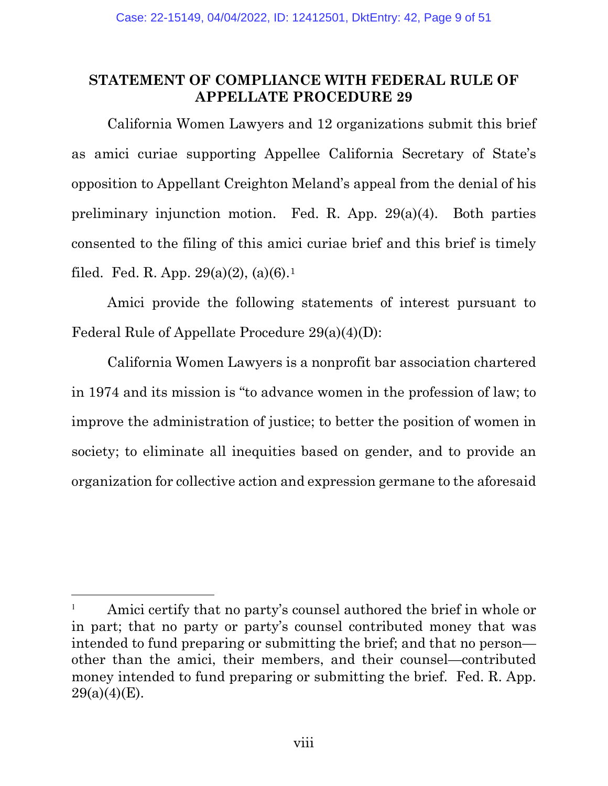### <span id="page-8-0"></span>**STATEMENT OF COMPLIANCE WITH FEDERAL RULE OF APPELLATE PROCEDURE 29**

California Women Lawyers and 12 organizations submit this brief as amici curiae supporting Appellee California Secretary of State's opposition to Appellant Creighton Meland's appeal from the denial of his preliminary injunction motion. [Fed. R. App. 29\(a\)\(4\).](https://www.westlaw.com/Document/ND9110E10B97711D8983DF34406B5929B/View/FullText.html?transitionType=Default&contextData=(sc.Default)&VR=3.0&RS=da3.0) Both parties consented to the filing of this amici curiae brief and this brief is timely filed. Fed. R. App.  $29(a)(2)$ ,  $(a)(6)$ .<sup>[1](#page-8-1)</sup>

Amici provide the following statements of interest pursuant to Federal Rule of Appellate Procedure 29(a)(4)(D):

California Women Lawyers is a nonprofit bar association chartered in 1974 and its mission is "to advance women in the profession of law; to improve the administration of justice; to better the position of women in society; to eliminate all inequities based on gender, and to provide an organization for collective action and expression germane to the aforesaid

<span id="page-8-1"></span><sup>&</sup>lt;sup>1</sup> Amici certify that no party's counsel authored the brief in whole or in part; that no party or party's counsel contributed money that was intended to fund preparing or submitting the brief; and that no person other than the amici, their members, and their counsel—contributed money intended to fund preparing or submitting the brief. Fed. R. App.  $29(a)(4)(E)$ .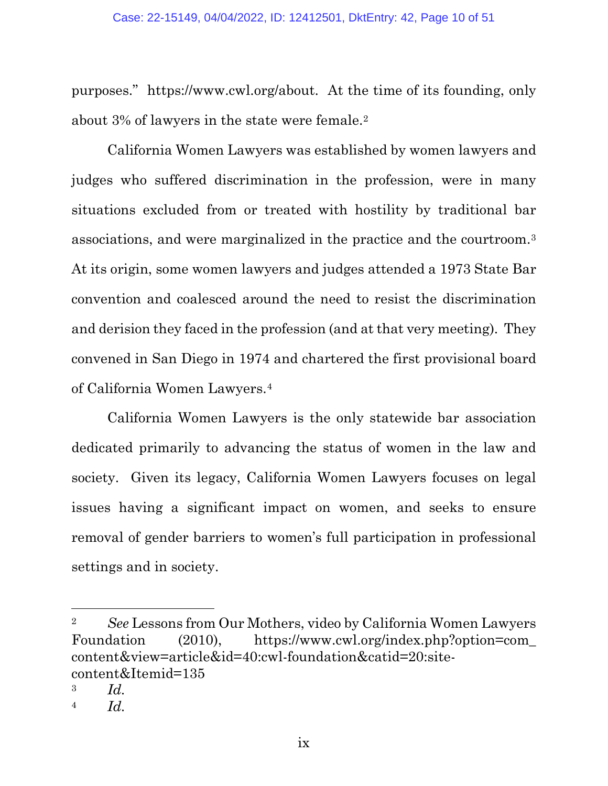purposes." [https://www.cwl.org/about.](https://www.cwl.org/about) At the time of its founding, only about 3% of lawyers in the state were female.[2](#page-9-0)

California Women Lawyers was established by women lawyers and judges who suffered discrimination in the profession, were in many situations excluded from or treated with hostility by traditional bar associations, and were marginalized in the practice and the courtroom.[3](#page-9-1) At its origin, some women lawyers and judges attended a 1973 State Bar convention and coalesced around the need to resist the discrimination and derision they faced in the profession (and at that very meeting). They convened in San Diego in 1974 and chartered the first provisional board of California Women Lawyers.[4](#page-9-2)

California Women Lawyers is the only statewide bar association dedicated primarily to advancing the status of women in the law and society. Given its legacy, California Women Lawyers focuses on legal issues having a significant impact on women, and seeks to ensure removal of gender barriers to women's full participation in professional settings and in society.

<span id="page-9-0"></span><sup>2</sup> *See* Lessons from Our Mothers, video by California Women Lawyers Foundation (2010), [https://www.cwl.org/index.php?option=com\\_](https://www.cwl.org/index.php?option=com_content&view=article&id=40:cwl-foundation&catid=20:site-content&Itemid=135) [content&view=article&id=40:cwl-foundation&catid=20:site](https://www.cwl.org/index.php?option=com_content&view=article&id=40:cwl-foundation&catid=20:site-content&Itemid=135)[content&Itemid=135](https://www.cwl.org/index.php?option=com_content&view=article&id=40:cwl-foundation&catid=20:site-content&Itemid=135)

<span id="page-9-1"></span><sup>3</sup> *[Id.](https://www.westlaw.com/Document/ND9110E10B97711D8983DF34406B5929B/View/FullText.html?transitionType=Default&contextData=(sc.Default)&VR=3.0&RS=da3.0)*

<span id="page-9-2"></span><sup>4</sup> *[Id.](https://www.westlaw.com/Document/ND9110E10B97711D8983DF34406B5929B/View/FullText.html?transitionType=Default&contextData=(sc.Default)&VR=3.0&RS=da3.0)*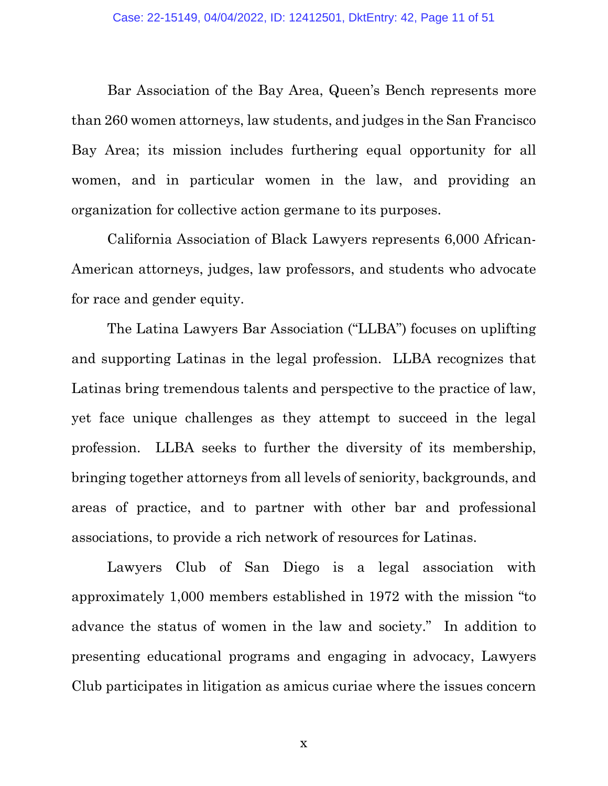Bar Association of the Bay Area, Queen's Bench represents more than 260 women attorneys, law students, and judges in the San Francisco Bay Area; its mission includes furthering equal opportunity for all women, and in particular women in the law, and providing an organization for collective action germane to its purposes.

California Association of Black Lawyers represents 6,000 African-American attorneys, judges, law professors, and students who advocate for race and gender equity.

The Latina Lawyers Bar Association ("LLBA") focuses on uplifting and supporting Latinas in the legal profession. LLBA recognizes that Latinas bring tremendous talents and perspective to the practice of law, yet face unique challenges as they attempt to succeed in the legal profession. LLBA seeks to further the diversity of its membership, bringing together attorneys from all levels of seniority, backgrounds, and areas of practice, and to partner with other bar and professional associations, to provide a rich network of resources for Latinas.

Lawyers Club of San Diego is a legal association with approximately 1,000 members established in 1972 with the mission "to advance the status of women in the law and society." In addition to presenting educational programs and engaging in advocacy, Lawyers Club participates in litigation as amicus curiae where the issues concern

x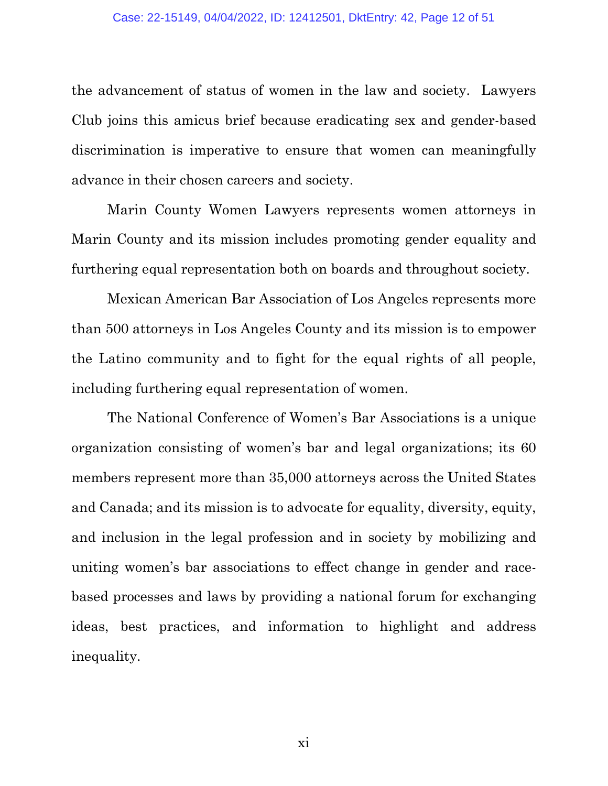the advancement of status of women in the law and society. Lawyers Club joins this amicus brief because eradicating sex and gender-based discrimination is imperative to ensure that women can meaningfully advance in their chosen careers and society.

Marin County Women Lawyers represents women attorneys in Marin County and its mission includes promoting gender equality and furthering equal representation both on boards and throughout society.

Mexican American Bar Association of Los Angeles represents more than 500 attorneys in Los Angeles County and its mission is to empower the Latino community and to fight for the equal rights of all people, including furthering equal representation of women.

The National Conference of Women's Bar Associations is a unique organization consisting of women's bar and legal organizations; its 60 members represent more than 35,000 attorneys across the United States and Canada; and its mission is to advocate for equality, diversity, equity, and inclusion in the legal profession and in society by mobilizing and uniting women's bar associations to effect change in gender and racebased processes and laws by providing a national forum for exchanging ideas, best practices, and information to highlight and address inequality.

xi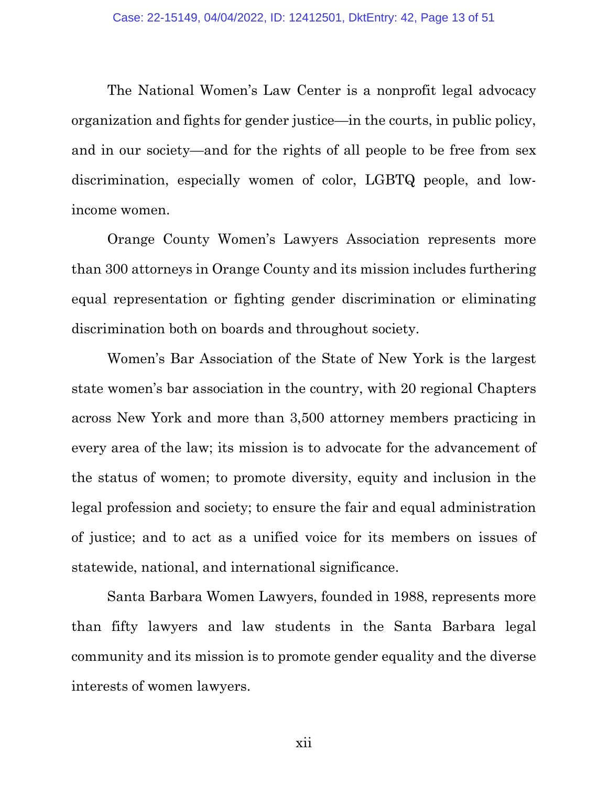The National Women's Law Center is a nonprofit legal advocacy organization and fights for gender justice—in the courts, in public policy, and in our society—and for the rights of all people to be free from sex discrimination, especially women of color, LGBTQ people, and lowincome women.

Orange County Women's Lawyers Association represents more than 300 attorneys in Orange County and its mission includes furthering equal representation or fighting gender discrimination or eliminating discrimination both on boards and throughout society.

Women's Bar Association of the State of New York is the largest state women's bar association in the country, with 20 regional Chapters across New York and more than 3,500 attorney members practicing in every area of the law; its mission is to advocate for the advancement of the status of women; to promote diversity, equity and inclusion in the legal profession and society; to ensure the fair and equal administration of justice; and to act as a unified voice for its members on issues of statewide, national, and international significance.

Santa Barbara Women Lawyers, founded in 1988, represents more than fifty lawyers and law students in the Santa Barbara legal community and its mission is to promote gender equality and the diverse interests of women lawyers.

xii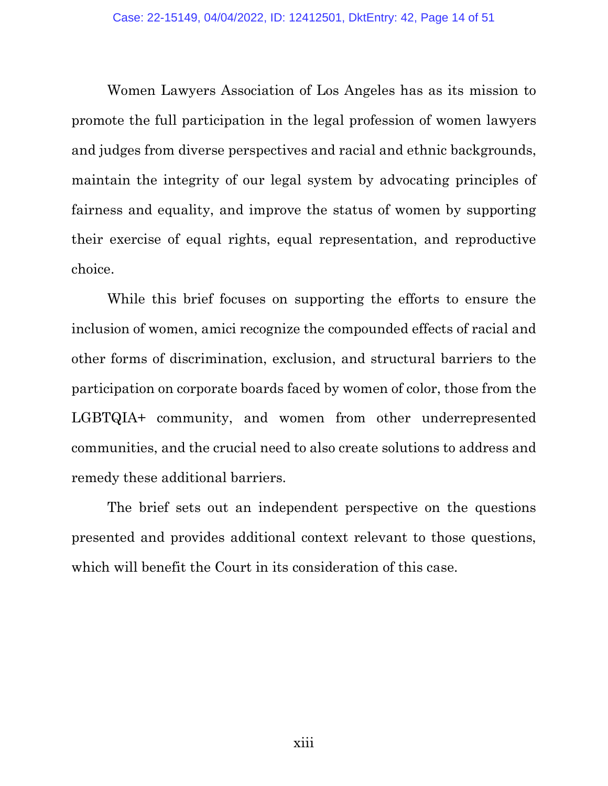Women Lawyers Association of Los Angeles has as its mission to promote the full participation in the legal profession of women lawyers and judges from diverse perspectives and racial and ethnic backgrounds, maintain the integrity of our legal system by advocating principles of fairness and equality, and improve the status of women by supporting their exercise of equal rights, equal representation, and reproductive choice.

While this brief focuses on supporting the efforts to ensure the inclusion of women, amici recognize the compounded effects of racial and other forms of discrimination, exclusion, and structural barriers to the participation on corporate boards faced by women of color, those from the LGBTQIA+ community, and women from other underrepresented communities, and the crucial need to also create solutions to address and remedy these additional barriers.

The brief sets out an independent perspective on the questions presented and provides additional context relevant to those questions, which will benefit the Court in its consideration of this case.

xiii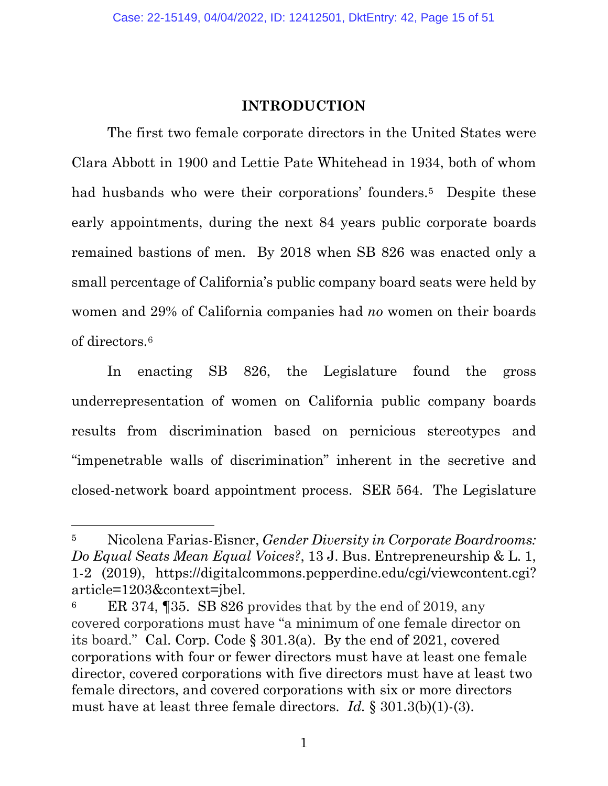#### **INTRODUCTION**

<span id="page-14-0"></span>The first two female corporate directors in the United States were Clara Abbott in 1900 and Lettie Pate Whitehead in 1934, both of whom had husbands who were their corporations' founders.<sup>5</sup> Despite these early appointments, during the next 84 years public corporate boards remained bastions of men. By 2018 when SB 826 was enacted only a small percentage of California's public company board seats were held by women and 29% of California companies had *no* women on their boards of directors.[6](#page-14-2)

In enacting SB 826, the Legislature found the gross underrepresentation of women on California public company boards results from discrimination based on pernicious stereotypes and "impenetrable walls of discrimination" inherent in the secretive and closed-network board appointment process. SER 564. The Legislature

<span id="page-14-1"></span><sup>5</sup> Nicolena Farias-Eisner, *[Gender Diversity in Corporate Boardrooms:](https://www.westlaw.com/Document/I698728183d7311eaadfea82903531a62/View/FullText.html?transitionType=Default&contextData=(sc.Default)&VR=3.0&RS=da3.0&fragmentIdentifier=co_pp_sp_203601_1)  Do Equal Seats Mean Equal Voices?*, [13 J. Bus. Entrepreneurship & L. 1,](https://www.westlaw.com/Document/I698728183d7311eaadfea82903531a62/View/FullText.html?transitionType=Default&contextData=(sc.Default)&VR=3.0&RS=da3.0&fragmentIdentifier=co_pp_sp_203601_1)  1-2 [\(2019\),](https://www.westlaw.com/Document/I698728183d7311eaadfea82903531a62/View/FullText.html?transitionType=Default&contextData=(sc.Default)&VR=3.0&RS=da3.0&fragmentIdentifier=co_pp_sp_203601_1) [https://digitalcommons.pepperdine.edu/cgi/viewcontent.cgi?](https://digitalcommons.pepperdine.edu/cgi/viewcontent.cgi?article=1203&context=jbel) [article=1203&context=jbel.](https://digitalcommons.pepperdine.edu/cgi/viewcontent.cgi?article=1203&context=jbel)

<span id="page-14-2"></span><sup>6</sup> ER 374, ¶35. SB 826 provides that by the end of 2019, any covered corporations must have "a minimum of one female director on its board." [Cal. Corp. Code](https://www.westlaw.com/Document/N7B3BFD5006AD11EBB17BA99767F74275/View/FullText.html?transitionType=Default&contextData=(sc.Default)&VR=3.0&RS=da3.0) § 301.3(a). By the end of 2021, covered corporations with four or fewer directors must have at least one female director, covered corporations with five directors must have at least two female directors, and covered corporations with six or more directors must have at least three female directors. *Id.* [§ 301.3\(b\)\(1\)-\(3\).](https://www.westlaw.com/Document/N7B3BFD5006AD11EBB17BA99767F74275/View/FullText.html?transitionType=Default&contextData=(sc.Default)&VR=3.0&RS=da3.0)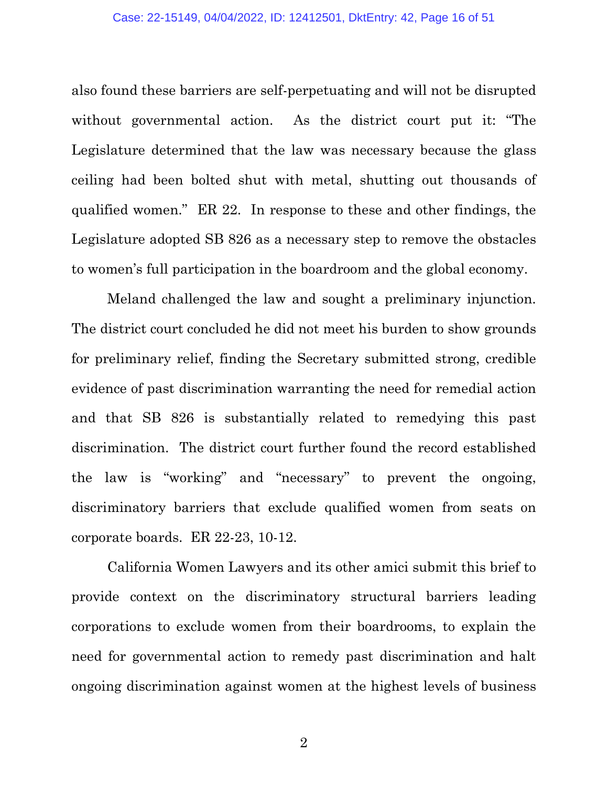also found these barriers are self-perpetuating and will not be disrupted without governmental action. As the district court put it: "The Legislature determined that the law was necessary because the glass ceiling had been bolted shut with metal, shutting out thousands of qualified women." ER 22. In response to these and other findings, the Legislature adopted SB 826 as a necessary step to remove the obstacles to women's full participation in the boardroom and the global economy.

Meland challenged the law and sought a preliminary injunction. The district court concluded he did not meet his burden to show grounds for preliminary relief, finding the Secretary submitted strong, credible evidence of past discrimination warranting the need for remedial action and that SB 826 is substantially related to remedying this past discrimination. The district court further found the record established the law is "working" and "necessary" to prevent the ongoing, discriminatory barriers that exclude qualified women from seats on corporate boards. ER 22-23, 10-12.

California Women Lawyers and its other amici submit this brief to provide context on the discriminatory structural barriers leading corporations to exclude women from their boardrooms, to explain the need for governmental action to remedy past discrimination and halt ongoing discrimination against women at the highest levels of business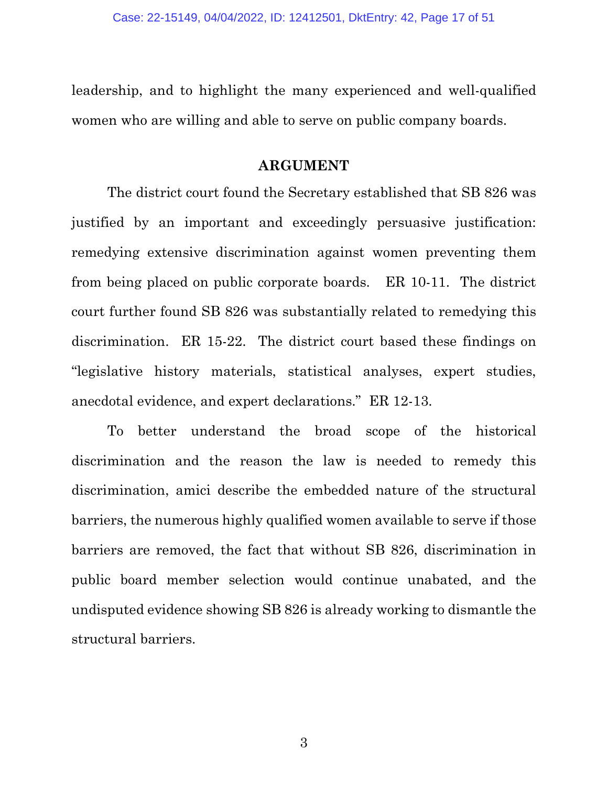<span id="page-16-0"></span>leadership, and to highlight the many experienced and well-qualified women who are willing and able to serve on public company boards.

#### **ARGUMENT**

The district court found the Secretary established that SB 826 was justified by an important and exceedingly persuasive justification: remedying extensive discrimination against women preventing them from being placed on public corporate boards. ER 10-11. The district court further found SB 826 was substantially related to remedying this discrimination. ER 15-22. The district court based these findings on "legislative history materials, statistical analyses, expert studies, anecdotal evidence, and expert declarations." ER 12-13.

To better understand the broad scope of the historical discrimination and the reason the law is needed to remedy this discrimination, amici describe the embedded nature of the structural barriers, the numerous highly qualified women available to serve if those barriers are removed, the fact that without SB 826, discrimination in public board member selection would continue unabated, and the undisputed evidence showing SB 826 is already working to dismantle the structural barriers.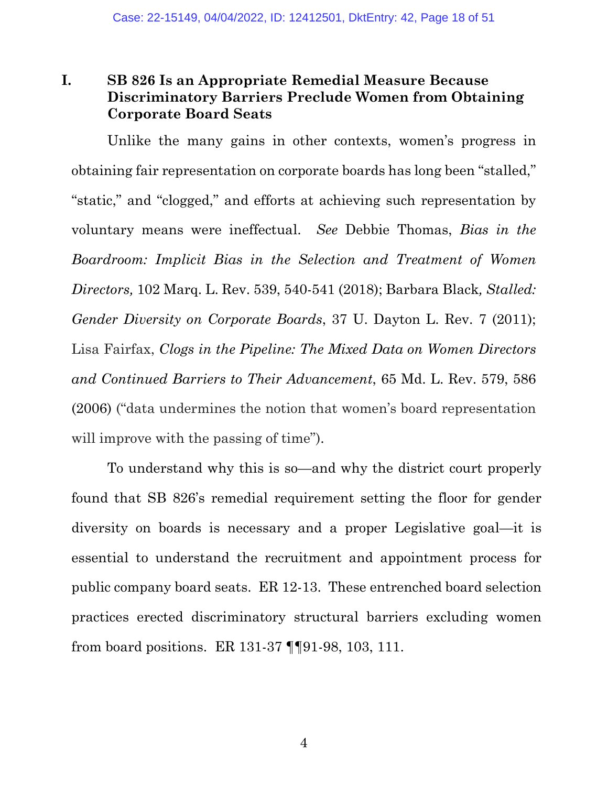### <span id="page-17-0"></span>**I. SB 826 Is an Appropriate Remedial Measure Because Discriminatory Barriers Preclude Women from Obtaining Corporate Board Seats**

Unlike the many gains in other contexts, women's progress in obtaining fair representation on corporate boards has long been "stalled," "static," and "clogged," and efforts at achieving such representation by voluntary means were ineffectual. *See* Debbie Thomas, *[Bias in the](https://www.westlaw.com/Document/Ie23fb16934aa11e99687ad62ac048e9b/View/FullText.html?transitionType=Default&contextData=(sc.Default)&VR=3.0&RS=da3.0&fragmentIdentifier=co_pp_sp_1186_540)  [Boardroom: Implicit Bias in the Selection and Treatment of Women](https://www.westlaw.com/Document/Ie23fb16934aa11e99687ad62ac048e9b/View/FullText.html?transitionType=Default&contextData=(sc.Default)&VR=3.0&RS=da3.0&fragmentIdentifier=co_pp_sp_1186_540)  Directors,* [102 Marq. L. Rev. 539, 540-541 \(2018\);](https://www.westlaw.com/Document/Ie23fb16934aa11e99687ad62ac048e9b/View/FullText.html?transitionType=Default&contextData=(sc.Default)&VR=3.0&RS=da3.0&fragmentIdentifier=co_pp_sp_1186_540) Barbara Black*, [Stalled:](https://www.westlaw.com/Document/Ic1ceab74b53b11e18b05fdf15589d8e8/View/FullText.html?transitionType=Default&contextData=(sc.Default)&VR=3.0&RS=da3.0)  [Gender Diversity on Corporate Boards](https://www.westlaw.com/Document/Ic1ceab74b53b11e18b05fdf15589d8e8/View/FullText.html?transitionType=Default&contextData=(sc.Default)&VR=3.0&RS=da3.0)*, 37 U. Dayton L. Rev. 7 (2011); Lisa Fairfax, *[Clogs in the Pipeline: The Mixed Data on Women Directors](https://www.westlaw.com/Document/I50a1e5115ad611dbbd2dfa5ce1d08a25/View/FullText.html?transitionType=Default&contextData=(sc.Default)&VR=3.0&RS=da3.0&fragmentIdentifier=co_pp_sp_1187_586)  [and Continued Barriers to Their Advancement](https://www.westlaw.com/Document/I50a1e5115ad611dbbd2dfa5ce1d08a25/View/FullText.html?transitionType=Default&contextData=(sc.Default)&VR=3.0&RS=da3.0&fragmentIdentifier=co_pp_sp_1187_586)*, 65 Md. L. Rev. 579, 586 [\(2006\)](https://www.westlaw.com/Document/I50a1e5115ad611dbbd2dfa5ce1d08a25/View/FullText.html?transitionType=Default&contextData=(sc.Default)&VR=3.0&RS=da3.0&fragmentIdentifier=co_pp_sp_1187_586) ("data undermines the notion that women's board representation will improve with the passing of time").

To understand why this is so—and why the district court properly found that SB 826's remedial requirement setting the floor for gender diversity on boards is necessary and a proper Legislative goal—it is essential to understand the recruitment and appointment process for public company board seats. ER 12-13. These entrenched board selection practices erected discriminatory structural barriers excluding women from board positions. ER 131-37 ¶¶91-98, 103, 111.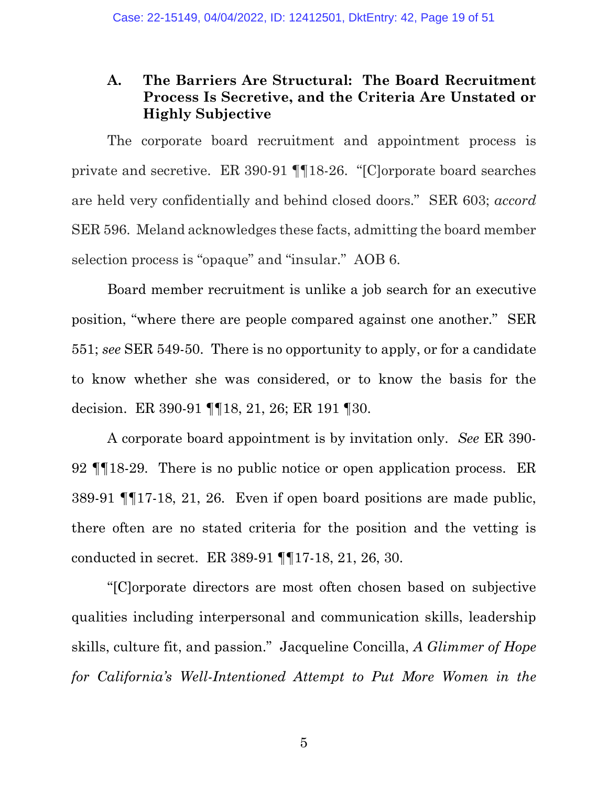### <span id="page-18-0"></span>**A. The Barriers Are Structural: The Board Recruitment Process Is Secretive, and the Criteria Are Unstated or Highly Subjective**

The corporate board recruitment and appointment process is private and secretive. ER 390-91 ¶¶18-26. "[C]orporate board searches are held very confidentially and behind closed doors." SER 603; *accord* SER 596. Meland acknowledges these facts, admitting the board member selection process is "opaque" and "insular." AOB 6.

Board member recruitment is unlike a job search for an executive position, "where there are people compared against one another." SER 551; *see* SER 549-50. There is no opportunity to apply, or for a candidate to know whether she was considered, or to know the basis for the decision. ER 390-91 ¶¶18, 21, 26; ER 191 ¶30.

A corporate board appointment is by invitation only. *See* ER 390- 92 ¶¶18-29. There is no public notice or open application process. ER 389-91 ¶¶17-18, 21, 26. Even if open board positions are made public, there often are no stated criteria for the position and the vetting is conducted in secret. ER 389-91 ¶¶17-18, 21, 26, 30.

"[C]orporate directors are most often chosen based on subjective qualities including interpersonal and communication skills, leadership skills, culture fit, and passion." Jacqueline Concilla, *[A Glimmer of Hope](https://www.westlaw.com/Document/I6dec5e8cf26f11eabea4f0dc9fb69570/View/FullText.html?transitionType=Default&contextData=(sc.Default)&VR=3.0&RS=da3.0&fragmentIdentifier=co_pp_sp_1228_626)  [for California's Well-Intentioned Attempt to Put More Women in the](https://www.westlaw.com/Document/I6dec5e8cf26f11eabea4f0dc9fb69570/View/FullText.html?transitionType=Default&contextData=(sc.Default)&VR=3.0&RS=da3.0&fragmentIdentifier=co_pp_sp_1228_626)*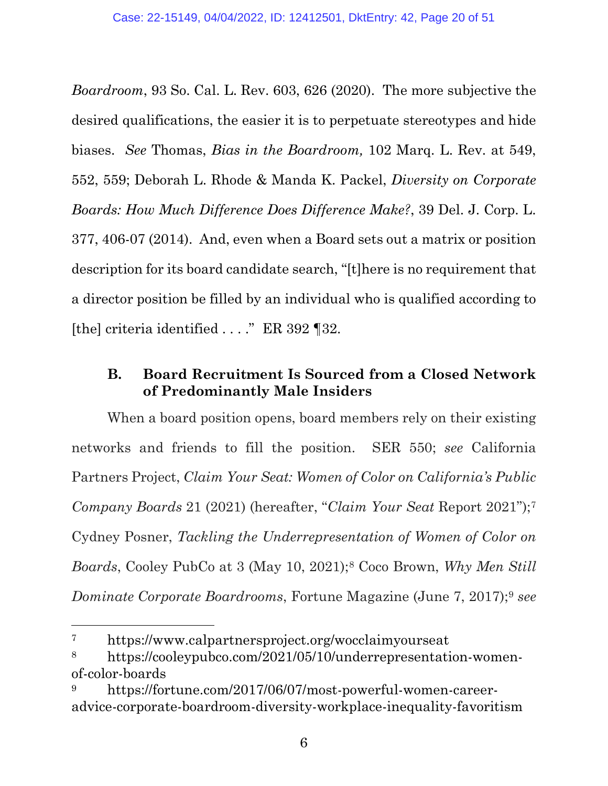*Boardroom*[, 93 So. Cal. L.](https://www.westlaw.com/Document/I6dec5e8cf26f11eabea4f0dc9fb69570/View/FullText.html?transitionType=Default&contextData=(sc.Default)&VR=3.0&RS=da3.0&fragmentIdentifier=co_pp_sp_1228_626) [Rev. 603, 626 \(2020\).](https://www.westlaw.com/Document/I6dec5e8cf26f11eabea4f0dc9fb69570/View/FullText.html?transitionType=Default&contextData=(sc.Default)&VR=3.0&RS=da3.0&fragmentIdentifier=co_pp_sp_1228_626) The more subjective the desired qualifications, the easier it is to perpetuate stereotypes and hide biases. *See* Thomas, *Bias in the Boardroom,* 102 Marq. L. Rev. at 549, 552, 559; Deborah L. Rhode & Manda K. Packel, *[Diversity on Corporate](https://www.westlaw.com/Link/Document/FullText?cite=39DELJCORPL377&VR=3.0&RS=da3.0)  [Boards: How Much Difference Does Difference Make?](https://www.westlaw.com/Link/Document/FullText?cite=39DELJCORPL377&VR=3.0&RS=da3.0)*, 39 Del. J. Corp. L. [377, 406-07 \(2014\).](https://www.westlaw.com/Link/Document/FullText?cite=39DELJCORPL377&VR=3.0&RS=da3.0) And, even when a Board sets out a matrix or position description for its board candidate search, "[t]here is no requirement that a director position be filled by an individual who is qualified according to [the] criteria identified . . . ." ER 392 ¶32.

### <span id="page-19-0"></span>**B. Board Recruitment Is Sourced from a Closed Network of Predominantly Male Insiders**

When a board position opens, board members rely on their existing networks and friends to fill the position. SER 550; *see* California Partners Project, *Claim Your Seat: Women of Color on California's Public Company Boards* 21 (2021) (hereafter, "*Claim Your Seat* Report 2021");[7](#page-19-1) Cydney Posner, *Tackling the Underrepresentation of Women of Color on Boards*, Cooley PubCo at 3 (May 10, 2021);[8](#page-19-2) Coco Brown, *Why Men Still Dominate Corporate Boardrooms*, Fortune Magazine (June 7, 2017);[9](#page-19-3) *see*

<span id="page-19-1"></span><sup>7</sup> <https://www.calpartnersproject.org/wocclaimyourseat>

<span id="page-19-2"></span><sup>8</sup> [https://cooleypubco.com/2021/05/10/underrepresentation-women](https://cooleypubco.com/2021/05/10/underrepresentation-women-of-color-boards)[of-color-boards](https://cooleypubco.com/2021/05/10/underrepresentation-women-of-color-boards)

<span id="page-19-3"></span>[https://fortune.com/2017/06/07/most-powerful-women-career](https://fortune.com/2017/06/07/most-powerful-women-career-advice-corporate-boardroom-diversity-workplace-inequality-favoritism)[advice-corporate-boardroom-diversity-workplace-inequality-favoritism](https://fortune.com/2017/06/07/most-powerful-women-career-advice-corporate-boardroom-diversity-workplace-inequality-favoritism)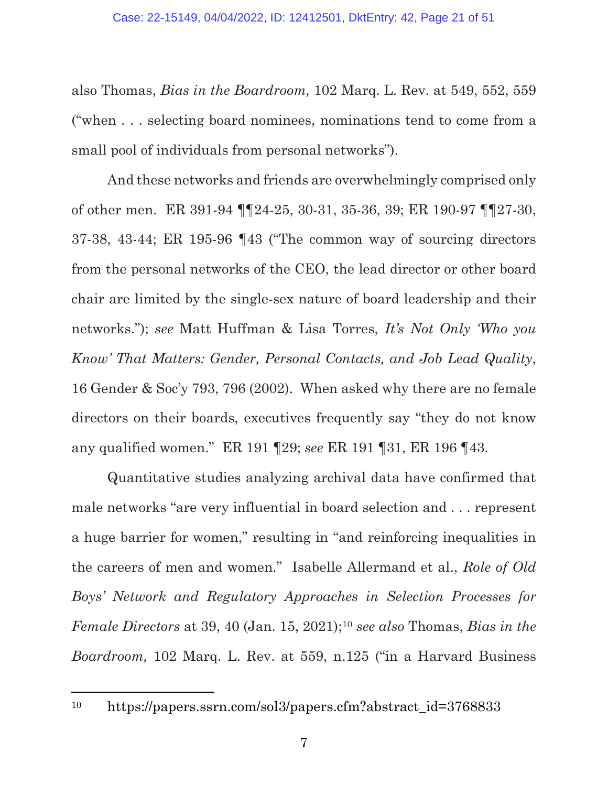also Thomas, *Bias in the Boardroom,* 102 Marq. L. Rev. at 549, 552, 559 ("when . . . selecting board nominees, nominations tend to come from a small pool of individuals from personal networks").

And these networks and friends are overwhelmingly comprised only of other men. ER 391-94 ¶¶24-25, 30-31, 35-36, 39; ER 190-97 ¶¶27-30, 37-38, 43-44; ER 195-96 ¶43 ("The common way of sourcing directors from the personal networks of the CEO, the lead director or other board chair are limited by the single-sex nature of board leadership and their networks."); *see* Matt Huffman & Lisa Torres, *It's Not Only 'Who you Know' That Matters: Gender, Personal Contacts, and Job Lead Quality*, 16 Gender & Soc'y 793, 796 (2002). When asked why there are no female directors on their boards, executives frequently say "they do not know any qualified women." ER 191 ¶29; *see* ER 191 ¶31, ER 196 ¶43.

Quantitative studies analyzing archival data have confirmed that male networks "are very influential in board selection and . . . represent a huge barrier for women," resulting in "and reinforcing inequalities in the careers of men and women." Isabelle Allermand et al., *Role of Old Boys' Network and Regulatory Approaches in Selection Processes for Female Directors* at 39, 40 (Jan. 15, 2021);[10](#page-20-0) *see also* Thomas, *Bias in the Boardroom,* 102 Marq. L. Rev. at 559, n.125 ("in a Harvard Business

<span id="page-20-0"></span><sup>10</sup> [https://papers.ssrn.com/sol3/papers.cfm?abstract\\_id=3768833](https://papers.ssrn.com/sol3/papers.cfm?abstract_id=3768833)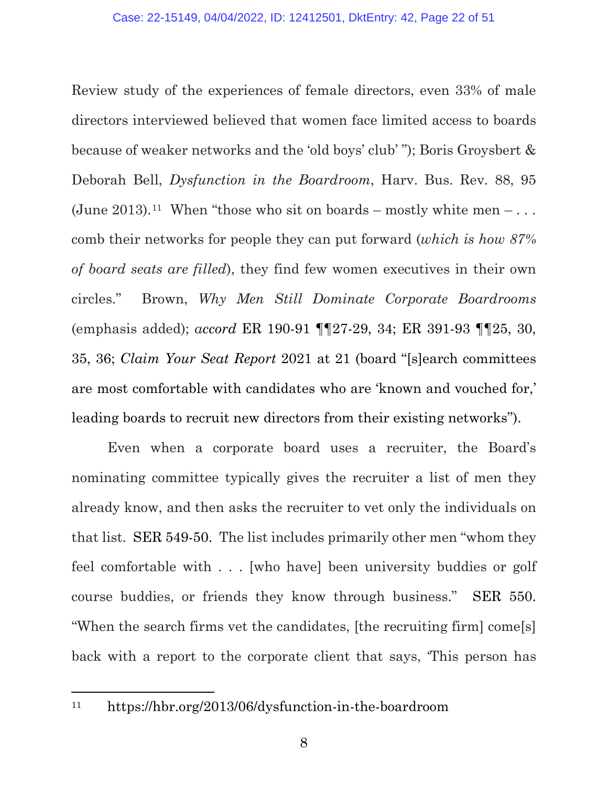Review study of the experiences of female directors, even 33% of male directors interviewed believed that women face limited access to boards because of weaker networks and the 'old boys' club' "); Boris Groysbert & Deborah Bell, *Dysfunction in the Boardroom*, Harv. Bus. Rev. 88, 95 (June 2013).<sup>[11](#page-21-0)</sup> When "those who sit on boards – mostly white men – ... comb their networks for people they can put forward (*which is how 87% of board seats are filled*), they find few women executives in their own circles." Brown, *Why Men Still Dominate Corporate Boardrooms*  (emphasis added); *accord* ER 190-91 ¶¶27-29, 34; ER 391-93 ¶¶25, 30, 35, 36; *Claim Your Seat Report* 2021 at 21 (board "[s]earch committees are most comfortable with candidates who are 'known and vouched for,' leading boards to recruit new directors from their existing networks").

Even when a corporate board uses a recruiter, the Board's nominating committee typically gives the recruiter a list of men they already know, and then asks the recruiter to vet only the individuals on that list. SER 549-50. The list includes primarily other men "whom they feel comfortable with . . . [who have] been university buddies or golf course buddies, or friends they know through business." SER 550. "When the search firms vet the candidates, [the recruiting firm] come[s] back with a report to the corporate client that says, 'This person has

<span id="page-21-0"></span>

<sup>11</sup> <https://hbr.org/2013/06/dysfunction-in-the-boardroom>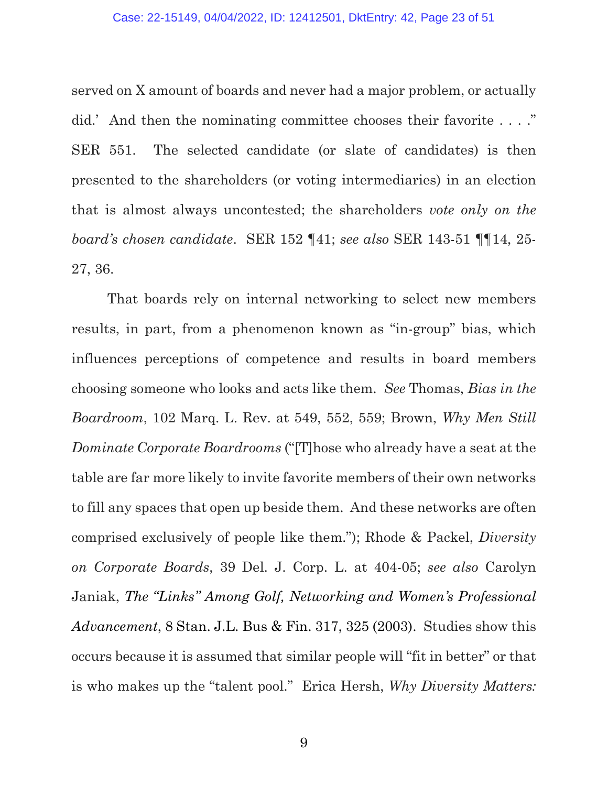served on X amount of boards and never had a major problem, or actually did.' And then the nominating committee chooses their favorite . . . ." SER 551. The selected candidate (or slate of candidates) is then presented to the shareholders (or voting intermediaries) in an election that is almost always uncontested; the shareholders *vote only on the board's chosen candidate*. SER 152 ¶41; *see also* SER 143-51 ¶¶14, 25- 27, 36.

That boards rely on internal networking to select new members results, in part, from a phenomenon known as "in-group" bias, which influences perceptions of competence and results in board members choosing someone who looks and acts like them. *See* Thomas, *Bias in the Boardroom*, 102 Marq. L. Rev. at 549, 552, 559; Brown, *Why Men Still Dominate Corporate Boardrooms* ("[T]hose who already have a seat at the table are far more likely to invite favorite members of their own networks to fill any spaces that open up beside them. And these networks are often comprised exclusively of people like them."); Rhode & Packel, *Diversity on Corporate Boards*, 39 Del. J. Corp. L. at 404-05; *see also* Carolyn Janiak, *[The "Links" Among Golf, Networking and Women's Professional](https://www.westlaw.com/Document/I70547b815a2b11dbbe1cf2d29fe2afe6/View/FullText.html?transitionType=Default&contextData=(sc.Default)&VR=3.0&RS=da3.0&fragmentIdentifier=co_pp_sp_106707_325)  [Advancement](https://www.westlaw.com/Document/I70547b815a2b11dbbe1cf2d29fe2afe6/View/FullText.html?transitionType=Default&contextData=(sc.Default)&VR=3.0&RS=da3.0&fragmentIdentifier=co_pp_sp_106707_325)*[, 8 Stan. J.L. Bus & Fin. 317, 325 \(2003\).](https://www.westlaw.com/Document/I70547b815a2b11dbbe1cf2d29fe2afe6/View/FullText.html?transitionType=Default&contextData=(sc.Default)&VR=3.0&RS=da3.0&fragmentIdentifier=co_pp_sp_106707_325) Studies show this occurs because it is assumed that similar people will "fit in better" or that is who makes up the "talent pool." Erica Hersh, *Why Diversity Matters:*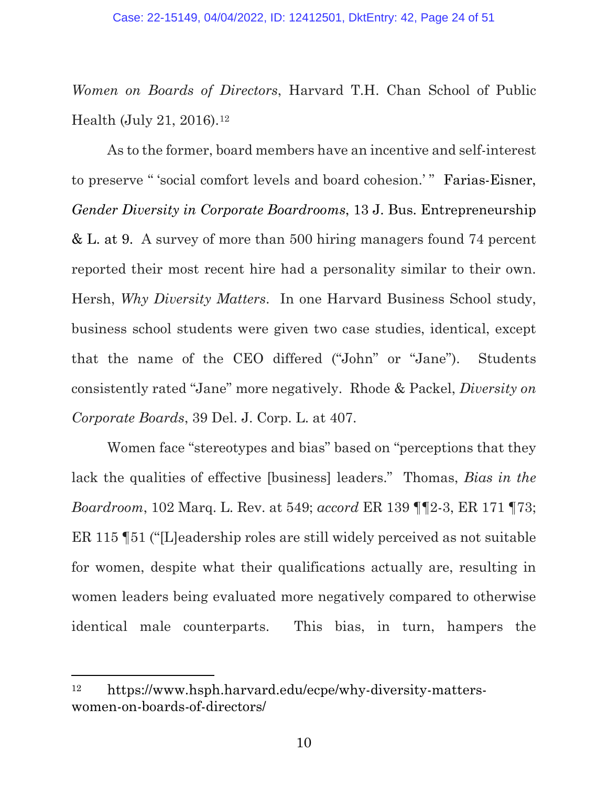*Women on Boards of Directors*, Harvard T.H. Chan School of Public Health (July 21, 2016).[12](#page-23-0)

As to the former, board members have an incentive and self-interest to preserve " 'social comfort levels and board cohesion.' " Farias-Eisner, *[Gender Diversity in Corporate Boardrooms](https://www.westlaw.com/Document/I698728183d7311eaadfea82903531a62/View/FullText.html?transitionType=Default&contextData=(sc.Default)&VR=3.0&RS=da3.0&fragmentIdentifier=co_pp_sp_203601_9)*, [13 J. Bus. Entrepreneurship](https://www.westlaw.com/Document/I698728183d7311eaadfea82903531a62/View/FullText.html?transitionType=Default&contextData=(sc.Default)&VR=3.0&RS=da3.0&fragmentIdentifier=co_pp_sp_203601_9)  [& L. at 9.](https://www.westlaw.com/Document/I698728183d7311eaadfea82903531a62/View/FullText.html?transitionType=Default&contextData=(sc.Default)&VR=3.0&RS=da3.0&fragmentIdentifier=co_pp_sp_203601_9) A survey of more than 500 hiring managers found 74 percent reported their most recent hire had a personality similar to their own. Hersh, *Why Diversity Matters*. In one Harvard Business School study, business school students were given two case studies, identical, except that the name of the CEO differed ("John" or "Jane"). Students consistently rated "Jane" more negatively. Rhode & Packel, *Diversity on Corporate Boards*, 39 Del. J. Corp. L. at 407.

Women face "stereotypes and bias" based on "perceptions that they lack the qualities of effective [business] leaders." Thomas, *Bias in the Boardroom*, 102 Marq. L. Rev. at 549; *accord* ER 139 ¶¶2-3, ER 171 ¶73; ER 115 ¶51 ("[L]eadership roles are still widely perceived as not suitable for women, despite what their qualifications actually are, resulting in women leaders being evaluated more negatively compared to otherwise identical male counterparts. This bias, in turn, hampers the

<span id="page-23-0"></span><sup>12</sup> [https://www.hsph.harvard.edu/ecpe/why-diversity-matters](https://www.hsph.harvard.edu/ecpe/why-diversity-matters-women-on-boards-of-directors/)[women-on-boards-of-directors/](https://www.hsph.harvard.edu/ecpe/why-diversity-matters-women-on-boards-of-directors/)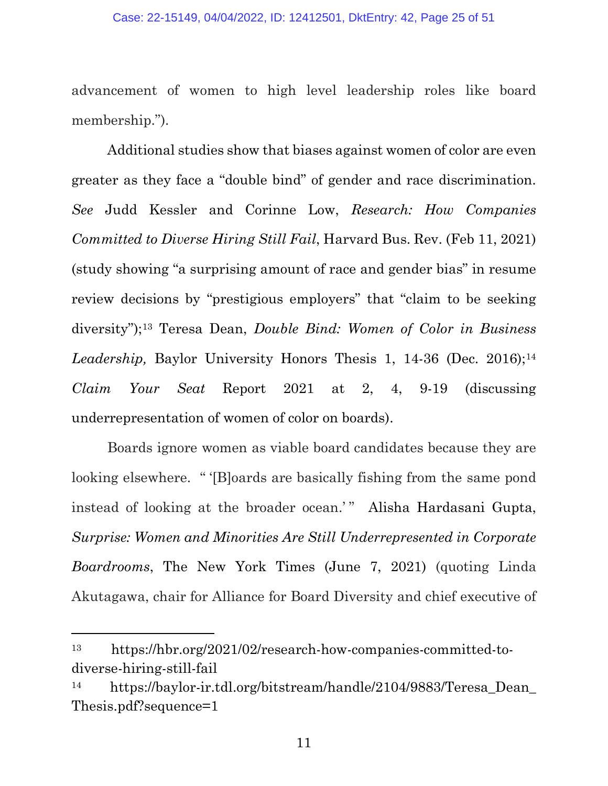advancement of women to high level leadership roles like board membership.").

Additional studies show that biases against women of color are even greater as they face a "double bind" of gender and race discrimination. *See* Judd Kessler and Corinne Low, *Research: How Companies Committed to Diverse Hiring Still Fail*, Harvard Bus. Rev. (Feb 11, 2021) (study showing "a surprising amount of race and gender bias" in resume review decisions by "prestigious employers" that "claim to be seeking diversity");[13](#page-24-0) Teresa Dean, *Double Bind: Women of Color in Business*  Leadership, Baylor University Honors Thesis 1, [14](#page-24-1)-36 (Dec. 2016);<sup>14</sup> *Claim Your Seat* Report 2021 at 2, 4, 9-19 (discussing underrepresentation of women of color on boards).

Boards ignore women as viable board candidates because they are looking elsewhere. " '[B]oards are basically fishing from the same pond instead of looking at the broader ocean.'" Alisha Hardasani Gupta, *Surprise: Women and Minorities Are Still Underrepresented in Corporate Boardrooms*, The New York Times (June 7, 2021) (quoting Linda Akutagawa, chair for Alliance for Board Diversity and chief executive of

<span id="page-24-0"></span><sup>13</sup> [https://hbr.org/2021/02/research-how-companies-committed-to](https://hbr.org/2021/02/research-how-companies-committed-to-diverse-hiring-still-fail)[diverse-hiring-still-fail](https://hbr.org/2021/02/research-how-companies-committed-to-diverse-hiring-still-fail)

<span id="page-24-1"></span><sup>14</sup> [https://baylor-ir.tdl.org/bitstream/handle/2104/9883/Teresa\\_Dean\\_](https://baylor-ir.tdl.org/bitstream/handle/2104/9883/Teresa_Dean_%E2%80%8CThesis.pdf?sequence=1) [Thesis.pdf?sequence=1](https://baylor-ir.tdl.org/bitstream/handle/2104/9883/Teresa_Dean_%E2%80%8CThesis.pdf?sequence=1)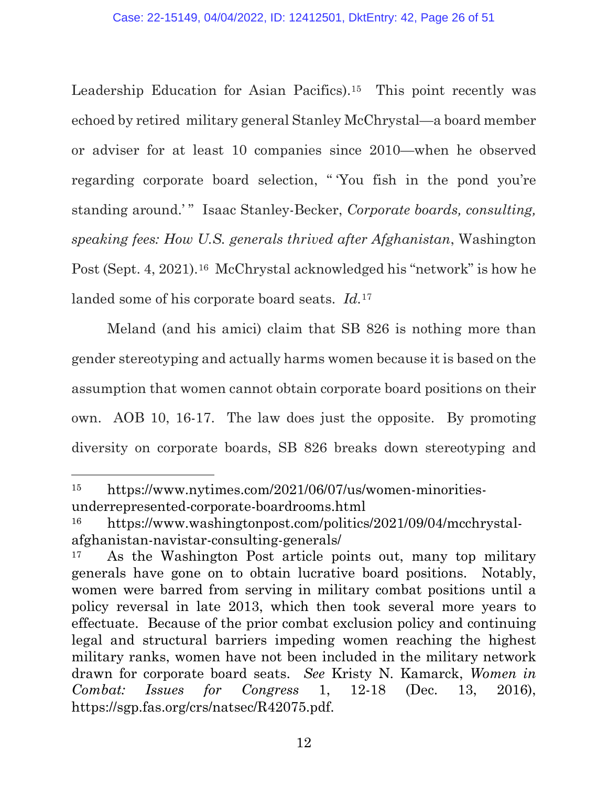Leadership Education for Asian Pacifics).<sup>15</sup> This point recently was echoed by retired military general Stanley McChrystal—a board member or adviser for at least 10 companies since 2010—when he observed regarding corporate board selection, " 'You fish in the pond you're standing around.'" Isaac Stanley-Becker, *Corporate boards, consulting, speaking fees: How U.S. generals thrived after Afghanistan*, Washington Post (Sept. 4, 2021).<sup>[16](#page-25-1)</sup> McChrystal acknowledged his "network" is how he landed some of his corporate board seats. *Id.*[17](#page-25-2)

Meland (and his amici) claim that SB 826 is nothing more than gender stereotyping and actually harms women because it is based on the assumption that women cannot obtain corporate board positions on their own. AOB 10, 16-17. The law does just the opposite. By promoting diversity on corporate boards, SB 826 breaks down stereotyping and

<span id="page-25-0"></span><sup>15</sup> [https://www.nytimes.com/2021/06/07/us/women-minorities](https://www.nytimes.com/2021/06/07/us/women-minorities-underrepresented-corporate-boardrooms.html)[underrepresented-corporate-boardrooms.html](https://www.nytimes.com/2021/06/07/us/women-minorities-underrepresented-corporate-boardrooms.html)

<span id="page-25-1"></span><sup>16</sup> [https://www.washingtonpost.com/politics/2021/09/04/mcchrystal](https://www.washingtonpost.com/politics/2021/09/04/mcchrystal-afghanistan-navistar-consulting-generals/)[afghanistan-navistar-consulting-generals/](https://www.washingtonpost.com/politics/2021/09/04/mcchrystal-afghanistan-navistar-consulting-generals/) 17 As the Washington Post article points out, many top military

<span id="page-25-2"></span>generals have gone on to obtain lucrative board positions. Notably, women were barred from serving in military combat positions until a policy reversal in late 2013, which then took several more years to effectuate. Because of the prior combat exclusion policy and continuing legal and structural barriers impeding women reaching the highest military ranks, women have not been included in the military network drawn for corporate board seats. *See* [Kristy N. Kamarck,](https://sgp.fas.org/crs/natsec/R42075.pdf) *[Women in](https://sgp.fas.org/crs/natsec/R42075.pdf)  [Combat: Issues for Congress](https://sgp.fas.org/crs/natsec/R42075.pdf)* 1, 12-18 (Dec. 13, 2016), https://sgp.fas.org/crs/natsec/R42075.pdf.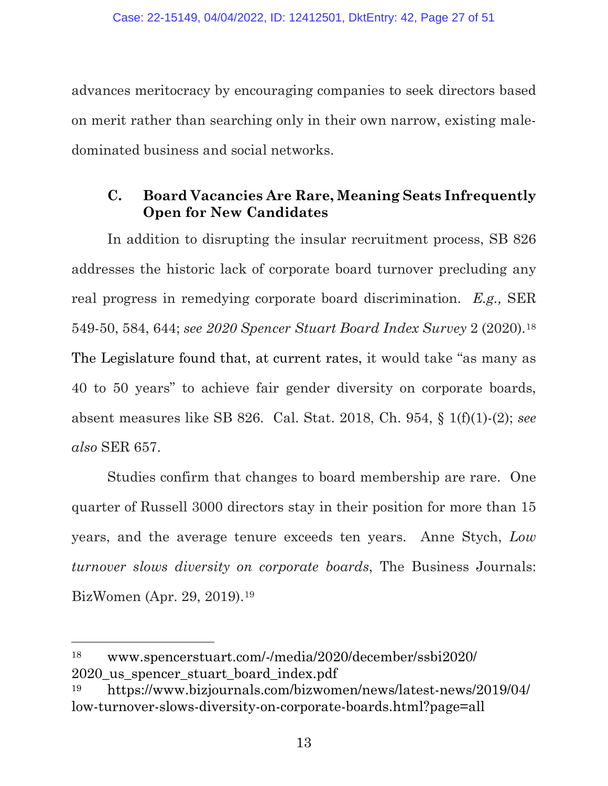advances meritocracy by encouraging companies to seek directors based on merit rather than searching only in their own narrow, existing maledominated business and social networks.

### <span id="page-26-0"></span>**C. Board Vacancies Are Rare, Meaning Seats Infrequently Open for New Candidates**

In addition to disrupting the insular recruitment process, SB 826 addresses the historic lack of corporate board turnover precluding any real progress in remedying corporate board discrimination. *E.g.,* SER 549-50, 584, 644; *see 2020 Spencer Stuart Board Index Survey* 2 (2020).[18](#page-26-1) The Legislature found that, at current rates, it would take "as many as 40 to 50 years" to achieve fair gender diversity on corporate boards, absent measures like SB 826. Cal. Stat. 2018, Ch. 954, § 1(f)(1)-(2); *see also* SER 657.

Studies confirm that changes to board membership are rare. One quarter of Russell 3000 directors stay in their position for more than 15 years, and the average tenure exceeds ten years. Anne Stych, *Low turnover slows diversity on corporate boards*, The Business Journals: BizWomen (Apr. 29, 2019).[19](#page-26-2)

<span id="page-26-1"></span><sup>18</sup> [www.spencerstuart.com/-/media/2020/december/ssbi2020/](https://www.spencerstuart.com/-/media/2020/december/ssbi2020/2020_us_spencer_stuart_board_index.pdf) 2020 us spencer stuart board index.pdf

<span id="page-26-2"></span><sup>19</sup> [https://www.bizjournals.com/bizwomen/news/latest-news/2019/04/](https://www.bizjournals.com/bizwomen/news/latest-news/2019/04/low-turnover-slows-diversity-on-corporate-boards.html?page=all) low-turnover-slows-diversity-on-corporate-boards.html?page=all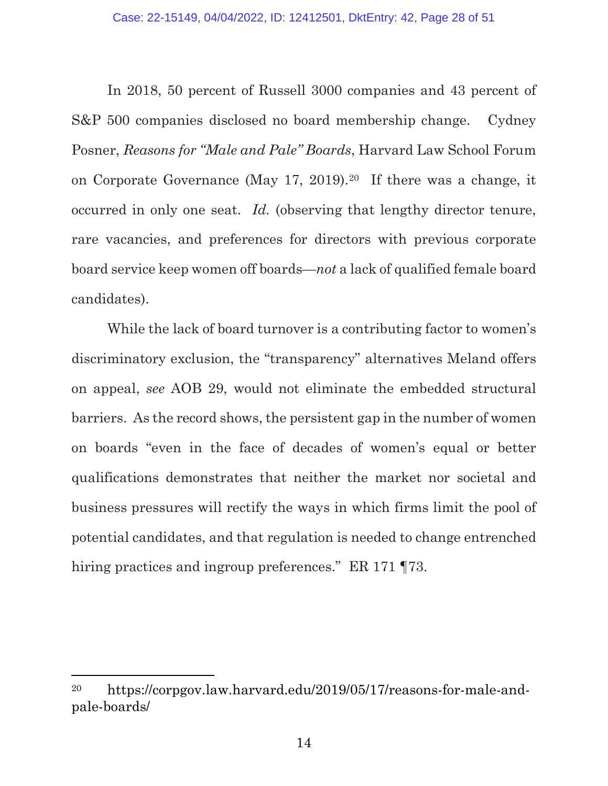In 2018, 50 percent of Russell 3000 companies and 43 percent of S&P 500 companies disclosed no board membership change. Cydney Posner, *Reasons for "Male and Pale" Boards*, Harvard Law School Forum on Corporate Governance (May 17, 2019).[20](#page-27-0) If there was a change, it occurred in only one seat. *Id.* (observing that lengthy director tenure, rare vacancies, and preferences for directors with previous corporate board service keep women off boards—*not* a lack of qualified female board candidates).

While the lack of board turnover is a contributing factor to women's discriminatory exclusion, the "transparency" alternatives Meland offers on appeal, *see* AOB 29, would not eliminate the embedded structural barriers. As the record shows, the persistent gap in the number of women on boards "even in the face of decades of women's equal or better qualifications demonstrates that neither the market nor societal and business pressures will rectify the ways in which firms limit the pool of potential candidates, and that regulation is needed to change entrenched hiring practices and ingroup preferences." ER 171 ¶73.

<span id="page-27-0"></span><sup>20</sup> [https://corpgov.law.harvard.edu/2019/05/17/reasons-for-male-and](https://corpgov.law.harvard.edu/2019/05/17/reasons-for-male-and-pale-boards/)[pale-boards/](https://corpgov.law.harvard.edu/2019/05/17/reasons-for-male-and-pale-boards/)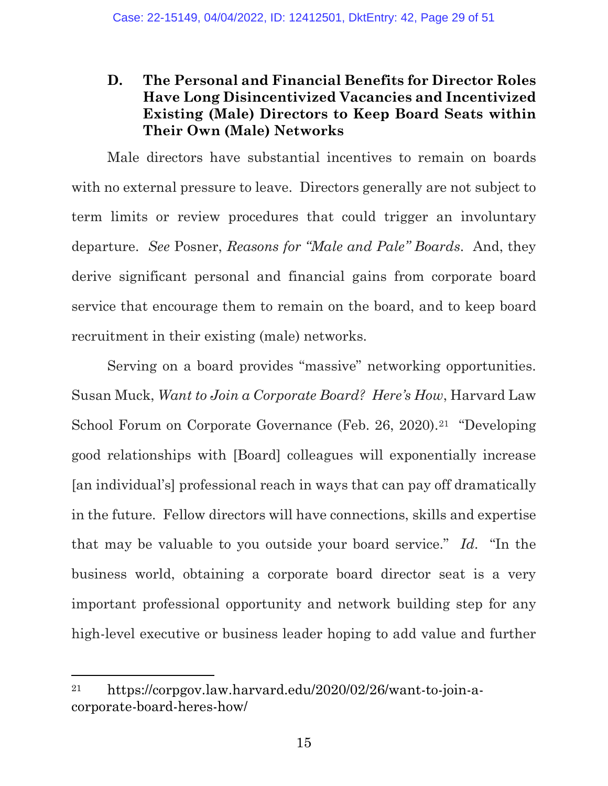### <span id="page-28-0"></span>**D. The Personal and Financial Benefits for Director Roles Have Long Disincentivized Vacancies and Incentivized Existing (Male) Directors to Keep Board Seats within Their Own (Male) Networks**

Male directors have substantial incentives to remain on boards with no external pressure to leave. Directors generally are not subject to term limits or review procedures that could trigger an involuntary departure. *See* Posner, *Reasons for "Male and Pale" Boards*. And, they derive significant personal and financial gains from corporate board service that encourage them to remain on the board, and to keep board recruitment in their existing (male) networks.

Serving on a board provides "massive" networking opportunities. Susan Muck, *Want to Join a Corporate Board? Here's How*, Harvard Law School Forum on Corporate Governance (Feb. 26, 2020).<sup>[21](#page-28-1)</sup> "Developing" good relationships with [Board] colleagues will exponentially increase [an individual's] professional reach in ways that can pay off dramatically in the future. Fellow directors will have connections, skills and expertise that may be valuable to you outside your board service." *Id*. "In the business world, obtaining a corporate board director seat is a very important professional opportunity and network building step for any high-level executive or business leader hoping to add value and further

<span id="page-28-1"></span><sup>21</sup> [https://corpgov.law.harvard.edu/2020/02/26/want-to-join-a](https://corpgov.law.harvard.edu/2020/02/26/want-to-join-a-corporate-board-heres-how/)[corporate-board-heres-how/](https://corpgov.law.harvard.edu/2020/02/26/want-to-join-a-corporate-board-heres-how/)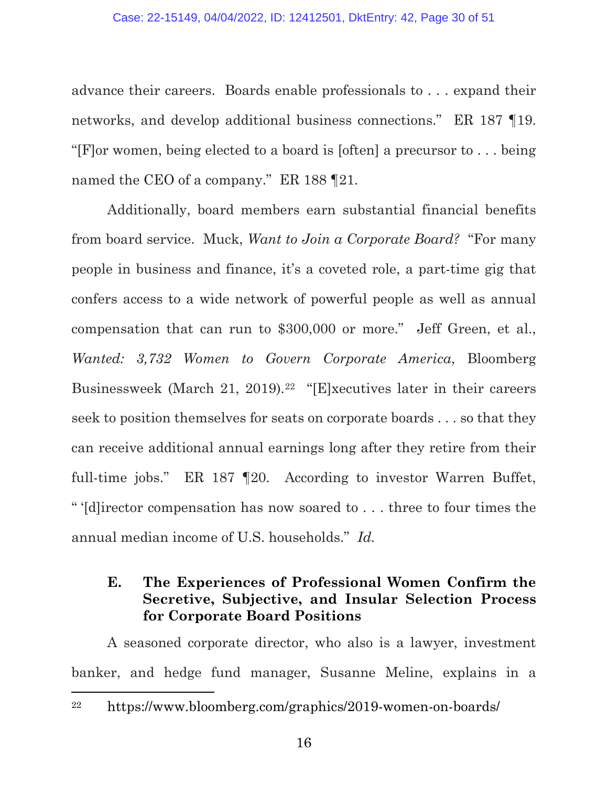#### Case: 22-15149, 04/04/2022, ID: 12412501, DktEntry: 42, Page 30 of 51

advance their careers. Boards enable professionals to . . . expand their networks, and develop additional business connections." ER 187 ¶19. "[F]or women, being elected to a board is [often] a precursor to . . . being named the CEO of a company." ER 188 ¶21.

Additionally, board members earn substantial financial benefits from board service. Muck, *Want to Join a Corporate Board?* "For many people in business and finance, it's a coveted role, a part-time gig that confers access to a wide network of powerful people as well as annual compensation that can run to \$300,000 or more." Jeff Green, et al., *Wanted: 3,732 Women to Govern Corporate America*, Bloomberg Businessweek (March 21, 2019).[22](#page-29-1) "[E]xecutives later in their careers seek to position themselves for seats on corporate boards . . . so that they can receive additional annual earnings long after they retire from their full-time jobs." ER 187 ¶20. According to investor Warren Buffet, " '[d]irector compensation has now soared to . . . three to four times the annual median income of U.S. households." *Id.*

### <span id="page-29-0"></span>**E. The Experiences of Professional Women Confirm the Secretive, Subjective, and Insular Selection Process for Corporate Board Positions**

A seasoned corporate director, who also is a lawyer, investment banker, and hedge fund manager, Susanne Meline, explains in a

<span id="page-29-1"></span><sup>22</sup> <https://www.bloomberg.com/graphics/2019-women-on-boards/>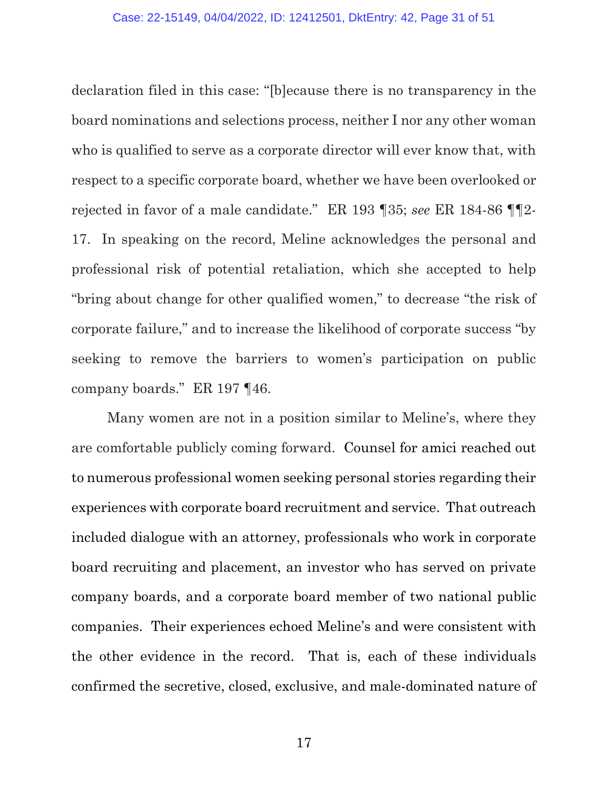declaration filed in this case: "[b]ecause there is no transparency in the board nominations and selections process, neither I nor any other woman who is qualified to serve as a corporate director will ever know that, with respect to a specific corporate board, whether we have been overlooked or rejected in favor of a male candidate." ER 193 ¶35; *see* ER 184-86 ¶¶2- 17. In speaking on the record, Meline acknowledges the personal and professional risk of potential retaliation, which she accepted to help "bring about change for other qualified women," to decrease "the risk of corporate failure," and to increase the likelihood of corporate success "by seeking to remove the barriers to women's participation on public company boards." ER 197 ¶46.

Many women are not in a position similar to Meline's, where they are comfortable publicly coming forward. Counsel for amici reached out to numerous professional women seeking personal stories regarding their experiences with corporate board recruitment and service. That outreach included dialogue with an attorney, professionals who work in corporate board recruiting and placement, an investor who has served on private company boards, and a corporate board member of two national public companies. Their experiences echoed Meline's and were consistent with the other evidence in the record. That is, each of these individuals confirmed the secretive, closed, exclusive, and male-dominated nature of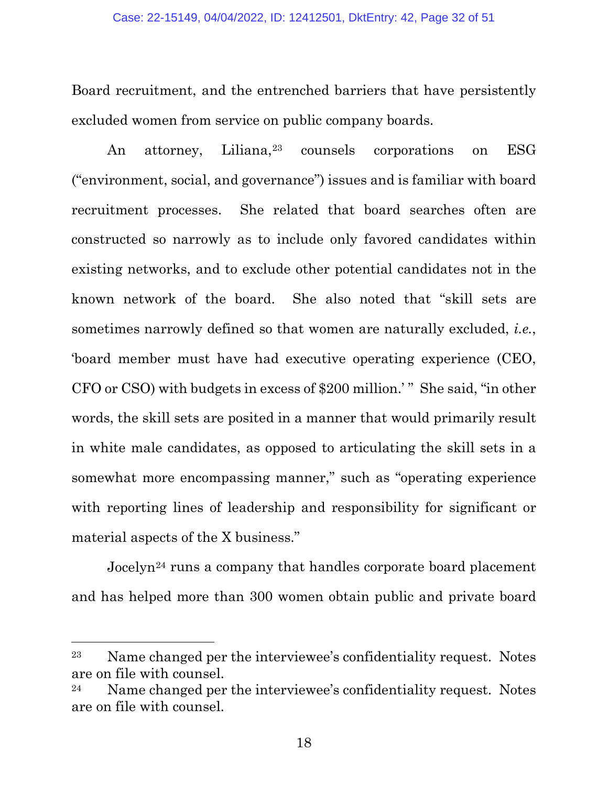Board recruitment, and the entrenched barriers that have persistently excluded women from service on public company boards.

An attorney, Liliana,<sup>[23](#page-31-0)</sup> counsels corporations on ESG ("environment, social, and governance") issues and is familiar with board recruitment processes. She related that board searches often are constructed so narrowly as to include only favored candidates within existing networks, and to exclude other potential candidates not in the known network of the board. She also noted that "skill sets are sometimes narrowly defined so that women are naturally excluded, *i.e.*, 'board member must have had executive operating experience (CEO, CFO or CSO) with budgets in excess of \$200 million.' " She said, "in other words, the skill sets are posited in a manner that would primarily result in white male candidates, as opposed to articulating the skill sets in a somewhat more encompassing manner," such as "operating experience with reporting lines of leadership and responsibility for significant or material aspects of the X business."

Jocelyn[24](#page-31-1) runs a company that handles corporate board placement and has helped more than 300 women obtain public and private board

<span id="page-31-0"></span><sup>23</sup> Name changed per the interviewee's confidentiality request. Notes are on file with counsel.

<span id="page-31-1"></span> $24$  Name changed per the interviewee's confidentiality request. Notes are on file with counsel.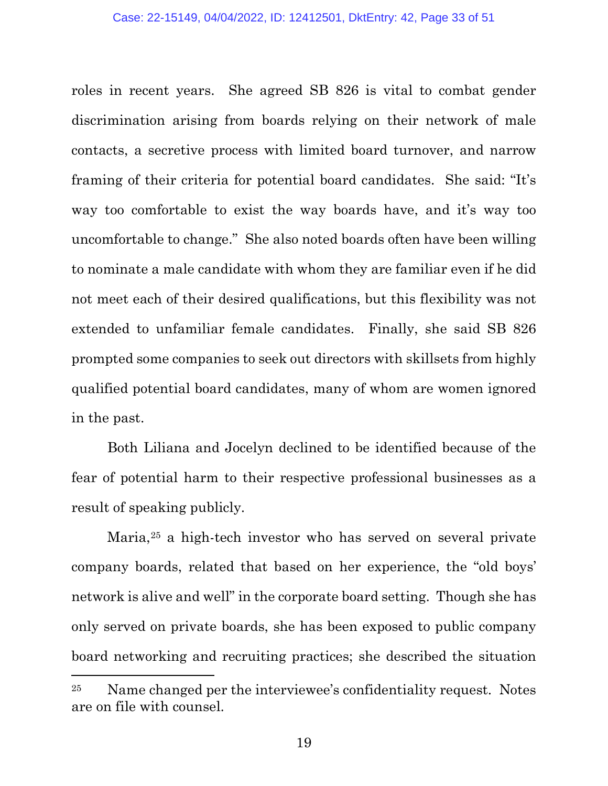roles in recent years. She agreed SB 826 is vital to combat gender discrimination arising from boards relying on their network of male contacts, a secretive process with limited board turnover, and narrow framing of their criteria for potential board candidates. She said: "It's way too comfortable to exist the way boards have, and it's way too uncomfortable to change." She also noted boards often have been willing to nominate a male candidate with whom they are familiar even if he did not meet each of their desired qualifications, but this flexibility was not extended to unfamiliar female candidates. Finally, she said SB 826 prompted some companies to seek out directors with skillsets from highly qualified potential board candidates, many of whom are women ignored in the past.

Both Liliana and Jocelyn declined to be identified because of the fear of potential harm to their respective professional businesses as a result of speaking publicly.

Maria,[25](#page-32-0) a high-tech investor who has served on several private company boards, related that based on her experience, the "old boys' network is alive and well" in the corporate board setting. Though she has only served on private boards, she has been exposed to public company board networking and recruiting practices; she described the situation

<span id="page-32-0"></span><sup>25</sup> Name changed per the interviewee's confidentiality request. Notes are on file with counsel.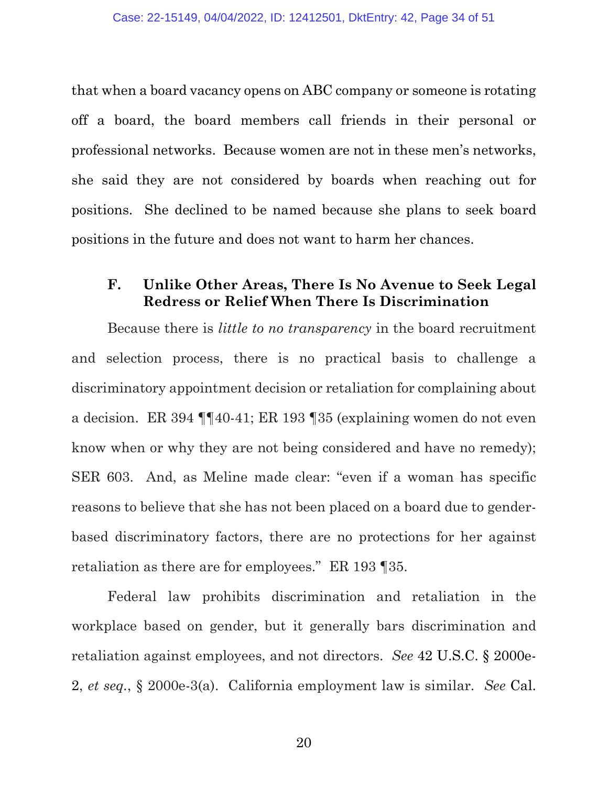that when a board vacancy opens on ABC company or someone is rotating off a board, the board members call friends in their personal or professional networks. Because women are not in these men's networks, she said they are not considered by boards when reaching out for positions. She declined to be named because she plans to seek board positions in the future and does not want to harm her chances.

#### <span id="page-33-0"></span>**F. Unlike Other Areas, There Is No Avenue to Seek Legal Redress or Relief When There Is Discrimination**

Because there is *little to no transparency* in the board recruitment and selection process, there is no practical basis to challenge a discriminatory appointment decision or retaliation for complaining about a decision. ER 394 ¶¶40-41; ER 193 ¶35 (explaining women do not even know when or why they are not being considered and have no remedy); SER 603. And, as Meline made clear: "even if a woman has specific reasons to believe that she has not been placed on a board due to genderbased discriminatory factors, there are no protections for her against retaliation as there are for employees." ER 193 ¶35.

Federal law prohibits discrimination and retaliation in the workplace based on gender, but it generally bars discrimination and retaliation against employees, and not directors. *See* [42 U.S.C. § 2000e-](https://www.westlaw.com/Document/N0186A0A0AFF811D8803AE0632FEDDFBF/View/FullText.html?transitionType=Default&contextData=(sc.Default)&VR=3.0&RS=da3.0)[2,](https://www.westlaw.com/Document/N0186A0A0AFF811D8803AE0632FEDDFBF/View/FullText.html?transitionType=Default&contextData=(sc.Default)&VR=3.0&RS=da3.0) *et seq.*, § 2000e-3(a). California employment law is similar. *See* [Cal.](https://www.westlaw.com/Document/N1D58F6808E5A11D882FF83A3182D7B4A/View/FullText.html?transitionType=Default&contextData=(sc.Default)&VR=3.0&RS=da3.0)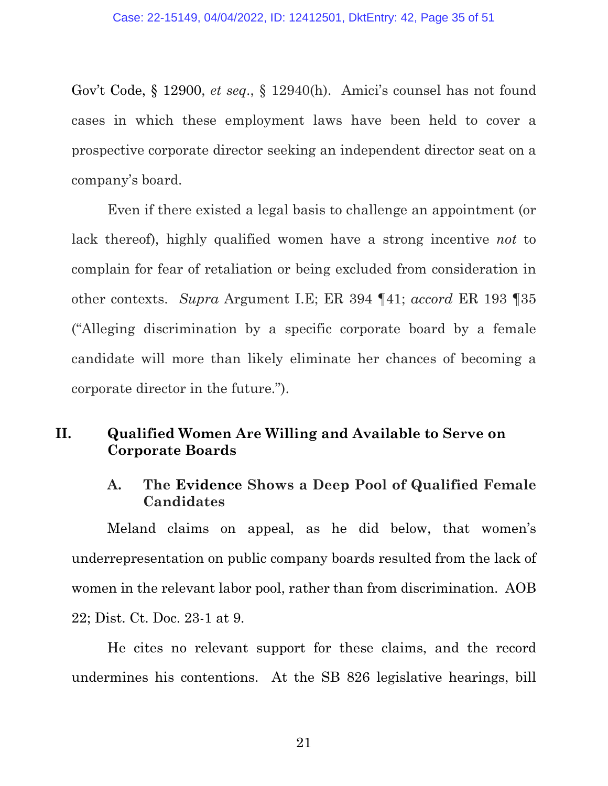[Gov't Code, § 12900,](https://www.westlaw.com/Document/N1D58F6808E5A11D882FF83A3182D7B4A/View/FullText.html?transitionType=Default&contextData=(sc.Default)&VR=3.0&RS=da3.0) *et seq*., § 12940(h). Amici's counsel has not found cases in which these employment laws have been held to cover a prospective corporate director seeking an independent director seat on a company's board.

Even if there existed a legal basis to challenge an appointment (or lack thereof), highly qualified women have a strong incentive *not* to complain for fear of retaliation or being excluded from consideration in other contexts. *Supra* Argument I.E; ER 394 ¶41; *accord* ER 193 ¶35 ("Alleging discrimination by a specific corporate board by a female candidate will more than likely eliminate her chances of becoming a corporate director in the future.").

#### <span id="page-34-1"></span><span id="page-34-0"></span>**II. Qualified Women Are Willing and Available to Serve on Corporate Boards**

#### **A. The Evidence Shows a Deep Pool of Qualified Female Candidates**

Meland claims on appeal, as he did below, that women's underrepresentation on public company boards resulted from the lack of women in the relevant labor pool, rather than from discrimination. AOB 22; Dist. Ct. Doc. 23-1 at 9.

He cites no relevant support for these claims, and the record undermines his contentions. At the SB 826 legislative hearings, bill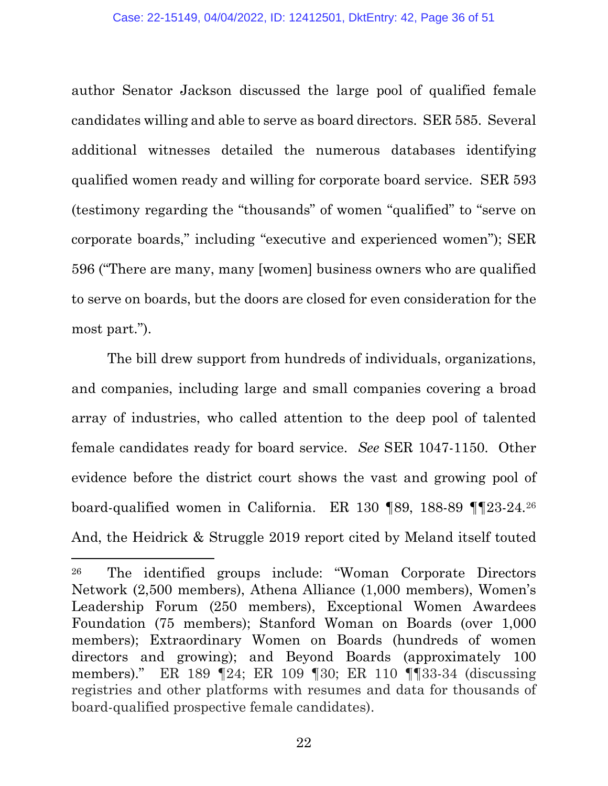author Senator Jackson discussed the large pool of qualified female candidates willing and able to serve as board directors. SER 585. Several additional witnesses detailed the numerous databases identifying qualified women ready and willing for corporate board service. SER 593 (testimony regarding the "thousands" of women "qualified" to "serve on corporate boards," including "executive and experienced women"); SER 596 ("There are many, many [women] business owners who are qualified to serve on boards, but the doors are closed for even consideration for the most part.").

The bill drew support from hundreds of individuals, organizations, and companies, including large and small companies covering a broad array of industries, who called attention to the deep pool of talented female candidates ready for board service. *See* SER 1047-1150. Other evidence before the district court shows the vast and growing pool of board-qualified women in California. ER 130 ¶89, 188-89 ¶¶23-24.[26](#page-35-0) And, the Heidrick & Struggle 2019 report cited by Meland itself touted

<span id="page-35-0"></span><sup>26</sup> The identified groups include: "Woman Corporate Directors Network (2,500 members), Athena Alliance (1,000 members), Women's Leadership Forum (250 members), Exceptional Women Awardees Foundation (75 members); Stanford Woman on Boards (over 1,000 members); Extraordinary Women on Boards (hundreds of women directors and growing); and Beyond Boards (approximately 100 members)." ER 189 ¶24; ER 109 ¶30; ER 110 ¶¶33-34 (discussing registries and other platforms with resumes and data for thousands of board-qualified prospective female candidates).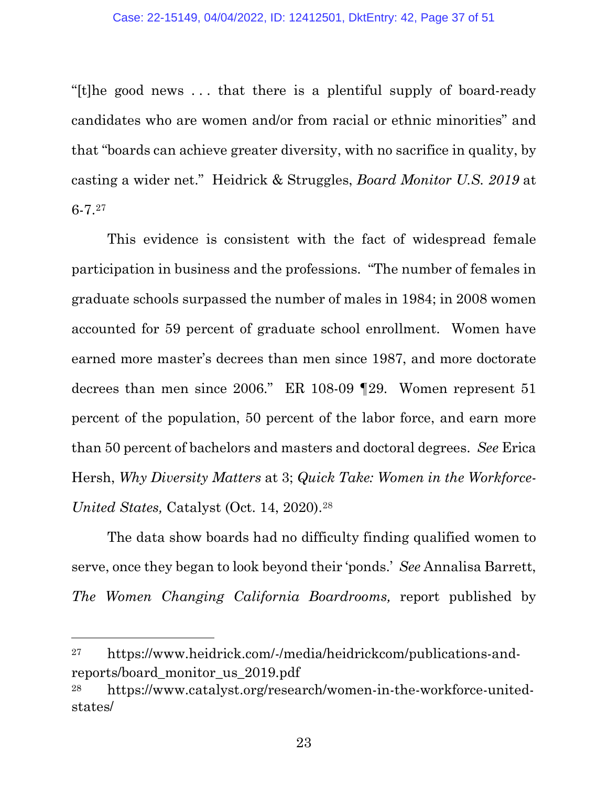"[t]he good news . . . that there is a plentiful supply of board-ready candidates who are women and/or from racial or ethnic minorities" and that "boards can achieve greater diversity, with no sacrifice in quality, by casting a wider net." [Heidrick & Struggles,](https://www.google.com/url?sa=t&rct=j&q=&esrc=s&source=web&cd=&ved=2ahUKEwiNrs_3kOj2AhXKIkQIHVtxAbAQFnoECA0QAQ&url=https%3A%2F%2Fwww.heidrick.com%2F-%2Fmedia%2Fheidrickcom%2Fpublications-and-reports%2Fboard_monitor_us_2019.pdf&usg=AOvVaw0I_bSWIX5H8juCQ2aekjOB) *[Board Monitor U.S. 2019](https://www.google.com/url?sa=t&rct=j&q=&esrc=s&source=web&cd=&ved=2ahUKEwiNrs_3kOj2AhXKIkQIHVtxAbAQFnoECA0QAQ&url=https%3A%2F%2Fwww.heidrick.com%2F-%2Fmedia%2Fheidrickcom%2Fpublications-and-reports%2Fboard_monitor_us_2019.pdf&usg=AOvVaw0I_bSWIX5H8juCQ2aekjOB)* at 6-7.[27](#page-36-0) 

This evidence is consistent with the fact of widespread female participation in business and the professions. "The number of females in graduate schools surpassed the number of males in 1984; in 2008 women accounted for 59 percent of graduate school enrollment. Women have earned more master's decrees than men since 1987, and more doctorate decrees than men since 2006." ER 108-09 ¶29. Women represent 51 percent of the population, 50 percent of the labor force, and earn more than 50 percent of bachelors and masters and doctoral degrees. *See* Erica Hersh, *Why Diversity Matters* at 3; *Quick Take: Women in the Workforce-United States,* Catalyst (Oct. 14, 2020).[28](#page-36-1)

The data show boards had no difficulty finding qualified women to serve, once they began to look beyond their 'ponds.' *See* Annalisa Barrett, *The Women Changing California Boardrooms,* report published by

<span id="page-36-0"></span><sup>27</sup> https://www.heidrick.com/-/media/heidrickcom/publications-andreports/board\_monitor\_us\_2019.pdf

<span id="page-36-1"></span><sup>28</sup> [https://www.catalyst.org/research/women-in-the-workforce-united](https://www.catalyst.org/research/women-in-the-workforce-united-states/)[states/](https://www.catalyst.org/research/women-in-the-workforce-united-states/)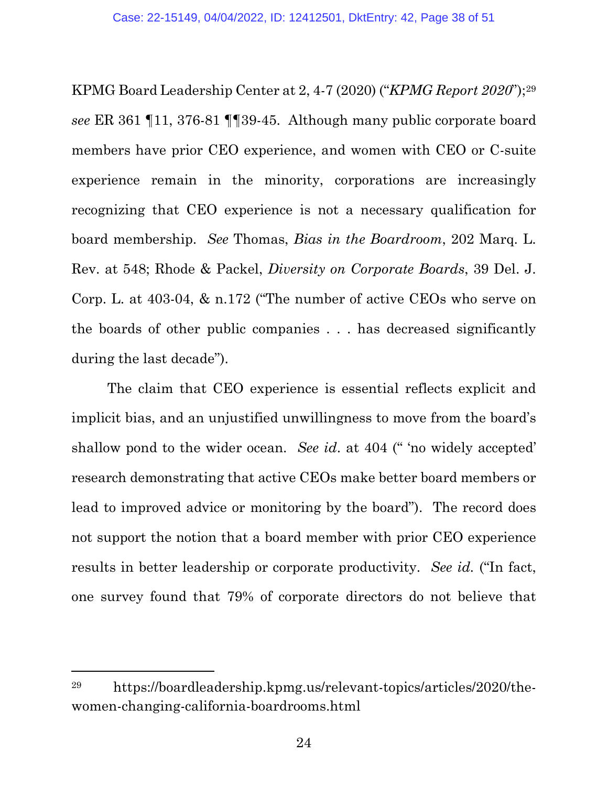KPMG Board Leadership Center at 2, 4-7 (2020) ("*KPMG Report 2020*");[29](#page-37-0) *see* ER 361 ¶11, 376-81 ¶¶39-45. Although many public corporate board members have prior CEO experience, and women with CEO or C-suite experience remain in the minority, corporations are increasingly recognizing that CEO experience is not a necessary qualification for board membership. *See* Thomas, *Bias in the Boardroom*, 202 Marq. L. Rev. at 548; Rhode & Packel, *Diversity on Corporate Boards*, 39 Del. J. Corp. L. at 403-04, & n.172 ("The number of active CEOs who serve on the boards of other public companies . . . has decreased significantly during the last decade").

The claim that CEO experience is essential reflects explicit and implicit bias, and an unjustified unwillingness to move from the board's shallow pond to the wider ocean. *See id*. at 404 (" 'no widely accepted' research demonstrating that active CEOs make better board members or lead to improved advice or monitoring by the board"). The record does not support the notion that a board member with prior CEO experience results in better leadership or corporate productivity. *See id.* ("In fact, one survey found that 79% of corporate directors do not believe that

<span id="page-37-0"></span><sup>29</sup> [https://boardleadership.kpmg.us/relevant-topics/articles/2020/the](https://boardleadership.kpmg.us/relevant-topics/articles/2020/the-women-changing-california-boardrooms.html)[women-changing-california-boardrooms.html](https://boardleadership.kpmg.us/relevant-topics/articles/2020/the-women-changing-california-boardrooms.html)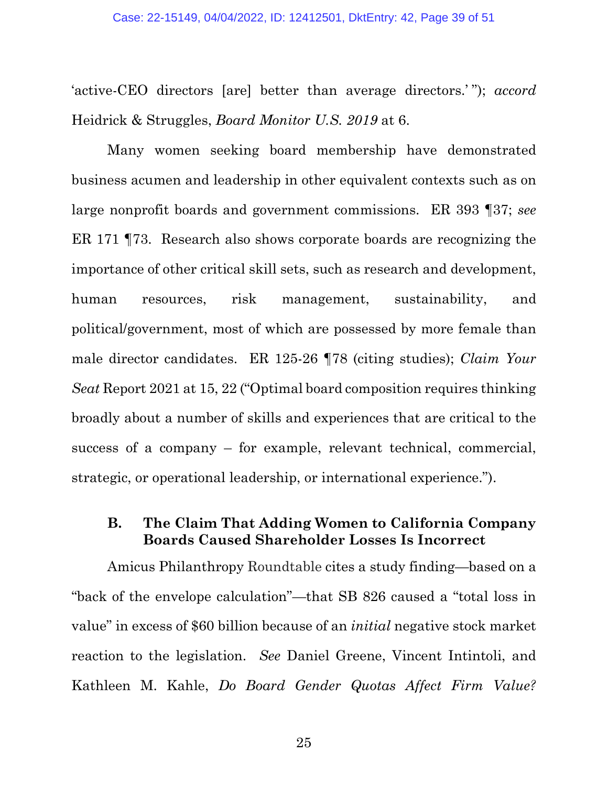'active-CEO directors [are] better than average directors.' "); *accord*  Heidrick & Struggles, *Board Monitor U.S. 2019* at 6.

Many women seeking board membership have demonstrated business acumen and leadership in other equivalent contexts such as on large nonprofit boards and government commissions. ER 393 ¶37; *see*  ER 171 ¶73. Research also shows corporate boards are recognizing the importance of other critical skill sets, such as research and development, human resources, risk management, sustainability, and political/government, most of which are possessed by more female than male director candidates. ER 125-26 ¶78 (citing studies); *Claim Your Seat* Report 2021 at 15, 22 ("Optimal board composition requires thinking broadly about a number of skills and experiences that are critical to the success of a company – for example, relevant technical, commercial, strategic, or operational leadership, or international experience.").

#### <span id="page-38-0"></span>**B. The Claim That Adding Women to California Company Boards Caused Shareholder Losses Is Incorrect**

Amicus Philanthropy Roundtable cites a study finding—based on a "back of the envelope calculation"—that SB 826 caused a "total loss in value" in excess of \$60 billion because of an *initial* negative stock market reaction to the legislation. *See* [Daniel Greene, Vincent Intintoli, and](https://calapplaw.sharepoint.com/sites/CALGportal/Active%20Cases/CWL/Drafts/Daniel%20Greene,%20Vincent%20Intintoli,%20and%20Kathleen%20M.%20Kahle,%20Do%20Board%20Gender%20Quotas%20Affect%20Firm%20Value?%20%20Evidence%20from%20California%20Senate%20Bill%20No.%20826%20(2020)%2060%20J.%20Corp.%20Fin.%201,%202.%20%20)  Kathleen M. Kahle, *[Do Board Gender Quotas Affect Firm Value?](https://calapplaw.sharepoint.com/sites/CALGportal/Active%20Cases/CWL/Drafts/Daniel%20Greene,%20Vincent%20Intintoli,%20and%20Kathleen%20M.%20Kahle,%20Do%20Board%20Gender%20Quotas%20Affect%20Firm%20Value?%20%20Evidence%20from%20California%20Senate%20Bill%20No.%20826%20(2020)%2060%20J.%20Corp.%20Fin.%201,%202.%20%20)*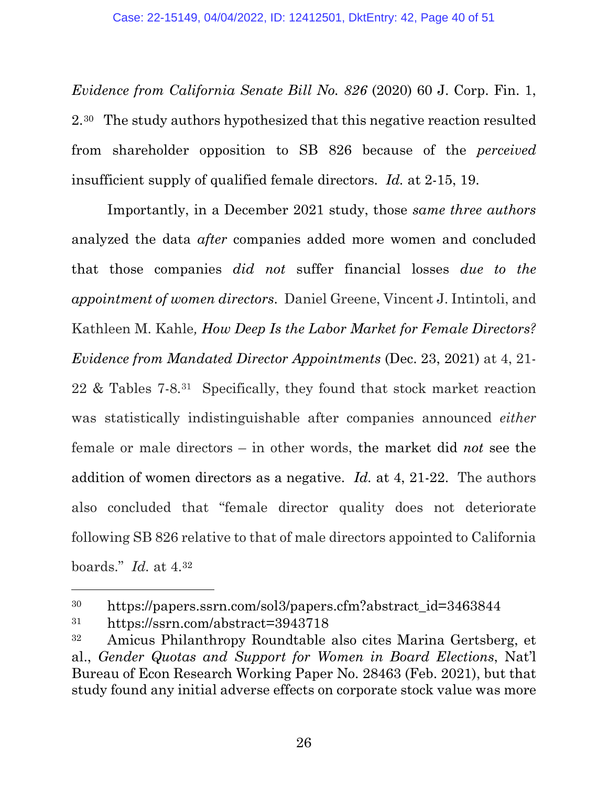*[Evidence from California Senate Bill No. 826](https://calapplaw.sharepoint.com/sites/CALGportal/Active%20Cases/CWL/Drafts/Daniel%20Greene,%20Vincent%20Intintoli,%20and%20Kathleen%20M.%20Kahle,%20Do%20Board%20Gender%20Quotas%20Affect%20Firm%20Value?%20%20Evidence%20from%20California%20Senate%20Bill%20No.%20826%20(2020)%2060%20J.%20Corp.%20Fin.%201,%202.%20%20)* (2020) 60 J. Corp. Fin. 1, [2.30](https://calapplaw.sharepoint.com/sites/CALGportal/Active%20Cases/CWL/Drafts/Daniel%20Greene,%20Vincent%20Intintoli,%20and%20Kathleen%20M.%20Kahle,%20Do%20Board%20Gender%20Quotas%20Affect%20Firm%20Value?%20%20Evidence%20from%20California%20Senate%20Bill%20No.%20826%20(2020)%2060%20J.%20Corp.%20Fin.%201,%202.%20%20) The study authors hypothesized that this negative reaction resulted from shareholder opposition to SB 826 because of the *perceived* insufficient supply of qualified female directors. *Id.* at 2-15, 19.

Importantly, in a December 2021 study, those *same three authors* analyzed the data *after* companies added more women and concluded that those companies *did not* suffer financial losses *due to the appointment of women directors*. Daniel Greene, Vincent J. Intintoli, and Kathleen M. Kahle*, [How Deep Is the Labor Market for Female Directors?](https://papers.ssrn.com/sol3/papers.cfm?abstract_id=3943718)  [Evidence from Mandated Director Appointments](https://papers.ssrn.com/sol3/papers.cfm?abstract_id=3943718)* (Dec. 23, 2021) at 4, 21- 22 & Tables 7-8.[31](#page-39-1) Specifically, they found that stock market reaction was statistically indistinguishable after companies announced *either* female or male directors – in other words, the market did *not* see the addition of women directors as a negative. *Id.* at 4, 21-22. The authors also concluded that "female director quality does not deteriorate following SB 826 relative to that of male directors appointed to California boards." *Id.* at 4.[32](#page-39-2)

<span id="page-39-0"></span><sup>&</sup>lt;sup>30</sup> https://papers.ssrn.com/sol3/papers.cfm?abstract\_id=3463844

<span id="page-39-1"></span><sup>31</sup> <https://ssrn.com/abstract=3943718>

<span id="page-39-2"></span><sup>32</sup> Amicus Philanthropy Roundtable also cites Marina Gertsberg, et al., *Gender Quotas and Support for Women in Board Elections*, Nat'l Bureau of Econ Research Working Paper No. 28463 (Feb. 2021), but that study found any initial adverse effects on corporate stock value was more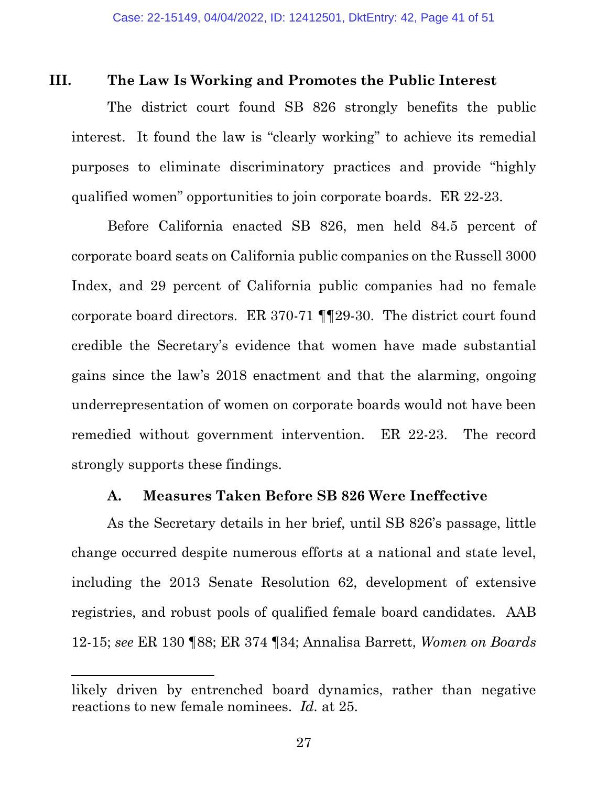#### <span id="page-40-0"></span>**III. The Law Is Working and Promotes the Public Interest**

The district court found SB 826 strongly benefits the public interest. It found the law is "clearly working" to achieve its remedial purposes to eliminate discriminatory practices and provide "highly qualified women" opportunities to join corporate boards. ER 22-23.

Before California enacted SB 826, men held 84.5 percent of corporate board seats on California public companies on the Russell 3000 Index, and 29 percent of California public companies had no female corporate board directors. ER 370-71 ¶¶29-30. The district court found credible the Secretary's evidence that women have made substantial gains since the law's 2018 enactment and that the alarming, ongoing underrepresentation of women on corporate boards would not have been remedied without government intervention. ER 22-23. The record strongly supports these findings.

#### <span id="page-40-1"></span>**A. Measures Taken Before SB 826 Were Ineffective**

As the Secretary details in her brief, until SB 826's passage, little change occurred despite numerous efforts at a national and state level, including the 2013 Senate Resolution 62, development of extensive registries, and robust pools of qualified female board candidates. AAB 12-15; *see* ER 130 ¶88; ER 374 ¶34; Annalisa Barrett, *Women on Boards* 

likely driven by entrenched board dynamics, rather than negative reactions to new female nominees. *Id.* at 25.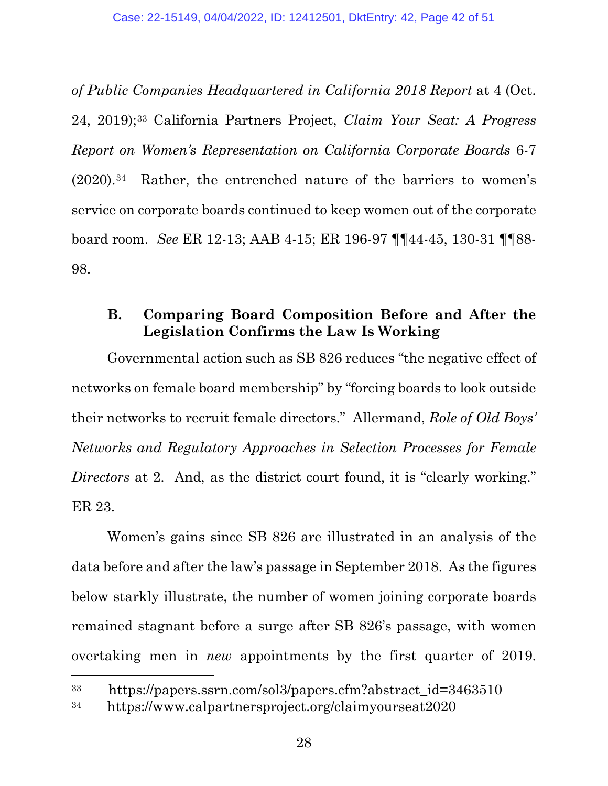*of Public Companies Headquartered in California 2018 Report* at 4 (Oct. 24, 2019);[33](#page-41-1) California Partners Project, *Claim Your Seat: A Progress Report on Women's Representation on California Corporate Boards* 6-7 (2020).[34](#page-41-2) Rather, the entrenched nature of the barriers to women's service on corporate boards continued to keep women out of the corporate board room. *See* ER 12-13; AAB 4-15; ER 196-97 ¶¶44-45, 130-31 ¶¶88- 98.

#### <span id="page-41-0"></span>**B. Comparing Board Composition Before and After the Legislation Confirms the Law Is Working**

Governmental action such as SB 826 reduces "the negative effect of networks on female board membership" by "forcing boards to look outside their networks to recruit female directors." Allermand, *Role of Old Boys' Networks and Regulatory Approaches in Selection Processes for Female Directors* at 2. And, as the district court found, it is "clearly working." ER 23.

Women's gains since SB 826 are illustrated in an analysis of the data before and after the law's passage in September 2018. As the figures below starkly illustrate, the number of women joining corporate boards remained stagnant before a surge after SB 826's passage, with women overtaking men in *new* appointments by the first quarter of 2019.

<span id="page-41-1"></span><sup>33</sup> [https://papers.ssrn.com/sol3/papers.cfm?abstract\\_id=3463510](https://papers.ssrn.com/sol3/papers.cfm?abstract_id=3463510)

<span id="page-41-2"></span><sup>34</sup> <https://www.calpartnersproject.org/claimyourseat2020>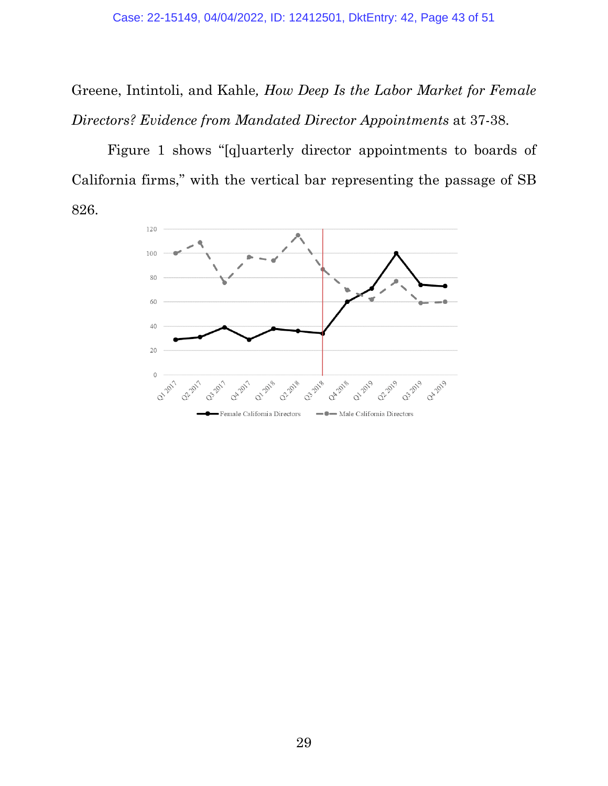Greene, Intintoli, and Kahle*, How Deep Is the Labor Market for Female Directors? Evidence from Mandated Director Appointments* at 37-38.

Figure 1 shows "[q]uarterly director appointments to boards of California firms," with the vertical bar representing the passage of SB 826.

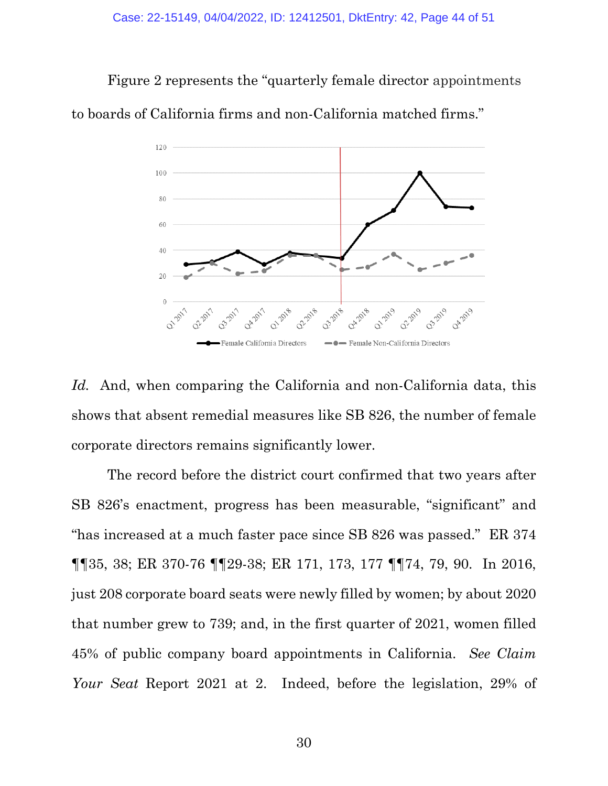Figure 2 represents the "quarterly female director appointments to boards of California firms and non-California matched firms."



*Id.* And, when comparing the California and non-California data, this shows that absent remedial measures like SB 826, the number of female corporate directors remains significantly lower.

The record before the district court confirmed that two years after SB 826's enactment, progress has been measurable, "significant" and "has increased at a much faster pace since SB 826 was passed." ER 374 ¶¶35, 38; ER 370-76 ¶¶29-38; ER 171, 173, 177 ¶¶74, 79, 90. In 2016, just 208 corporate board seats were newly filled by women; by about 2020 that number grew to 739; and, in the first quarter of 2021, women filled 45% of public company board appointments in California. *See Claim Your Seat* Report 2021 at 2. Indeed, before the legislation, 29% of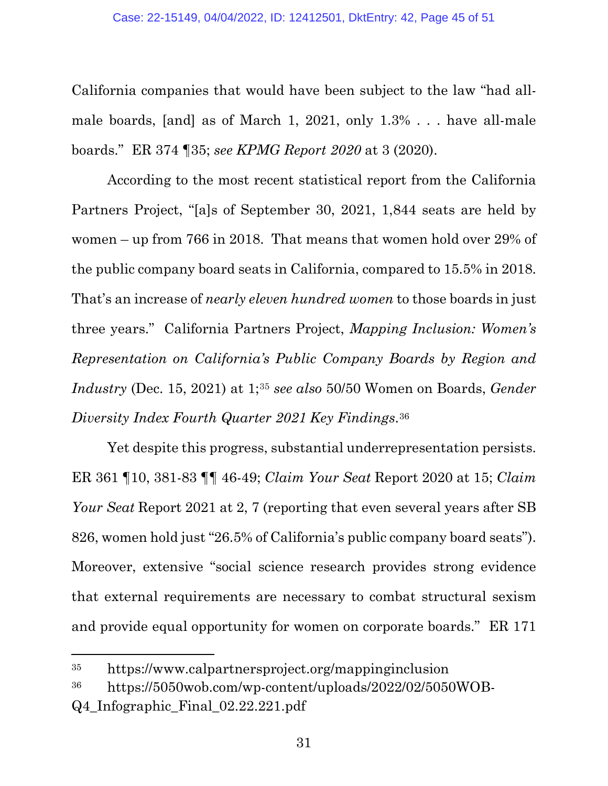California companies that would have been subject to the law "had allmale boards, [and] as of March 1, 2021, only 1.3% . . . have all-male boards." ER 374 ¶35; *see KPMG Report 2020* at 3 (2020).

According to the most recent statistical report from the California Partners Project, "[a]s of September 30, 2021, 1,844 seats are held by women – up from 766 in 2018. That means that women hold over 29% of the public company board seats in California, compared to 15.5% in 2018. That's an increase of *nearly eleven hundred women* to those boards in just three years." California Partners Project, *Mapping Inclusion: Women's Representation on California's Public Company Boards by Region and Industry* (Dec. 15, 2021) at 1[;35](#page-44-0) *see also* 50/50 Women on Boards, *Gender Diversity Index Fourth Quarter 2021 Key Findings*.[36](#page-44-1)

Yet despite this progress, substantial underrepresentation persists. ER 361 ¶10, 381-83 ¶¶ 46-49; *Claim Your Seat* Report 2020 at 15; *Claim Your Seat Report 2021 at 2, 7 (reporting that even several years after SB* 826, women hold just "26.5% of California's public company board seats"). Moreover, extensive "social science research provides strong evidence that external requirements are necessary to combat structural sexism and provide equal opportunity for women on corporate boards." ER 171

<span id="page-44-0"></span><sup>35</sup> <https://www.calpartnersproject.org/mappinginclusion>

<span id="page-44-1"></span><sup>36</sup> [https://5050wob.com/wp-content/uploads/2022/02/5050WOB-](https://5050wob.com/wp-content/uploads/2022/02/5050WOB-Q4_Infographic_Final_02.22.221.pdf)

[Q4\\_Infographic\\_Final\\_02.22.221.pdf](https://5050wob.com/wp-content/uploads/2022/02/5050WOB-Q4_Infographic_Final_02.22.221.pdf)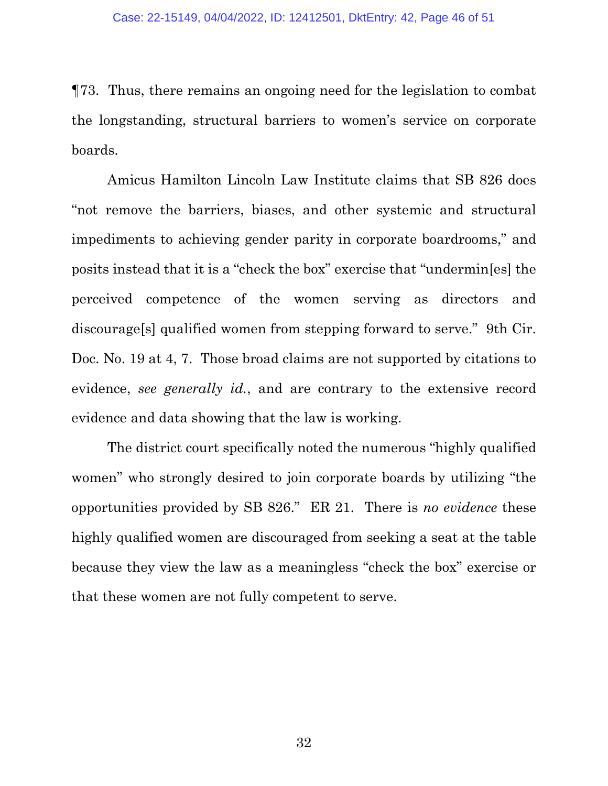¶73. Thus, there remains an ongoing need for the legislation to combat the longstanding, structural barriers to women's service on corporate boards.

Amicus Hamilton Lincoln Law Institute claims that SB 826 does "not remove the barriers, biases, and other systemic and structural impediments to achieving gender parity in corporate boardrooms," and posits instead that it is a "check the box" exercise that "undermin[es] the perceived competence of the women serving as directors and discourage[s] qualified women from stepping forward to serve." 9th Cir. Doc. No. 19 at 4, 7. Those broad claims are not supported by citations to evidence, *see generally id.*, and are contrary to the extensive record evidence and data showing that the law is working.

The district court specifically noted the numerous "highly qualified women" who strongly desired to join corporate boards by utilizing "the opportunities provided by SB 826." ER 21. There is *no evidence* these highly qualified women are discouraged from seeking a seat at the table because they view the law as a meaningless "check the box" exercise or that these women are not fully competent to serve.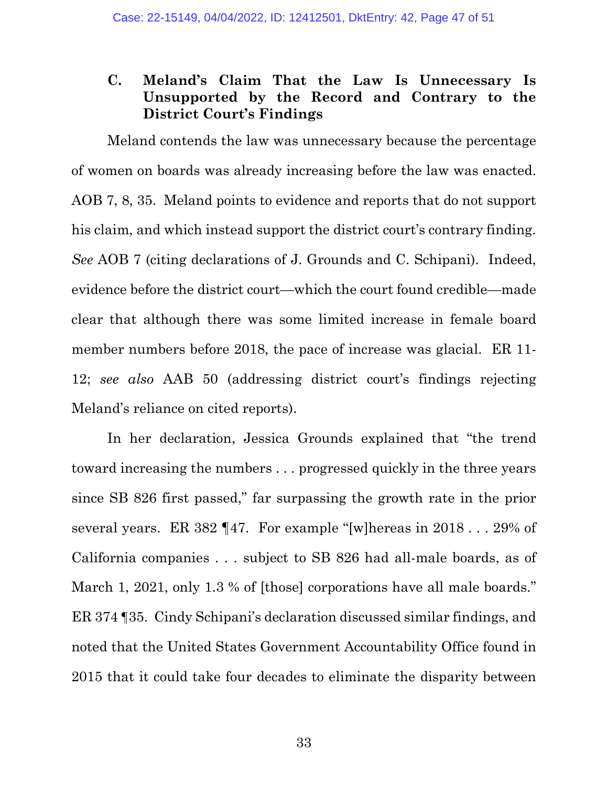### <span id="page-46-0"></span>**C. Meland's Claim That the Law Is Unnecessary Is Unsupported by the Record and Contrary to the District Court's Findings**

Meland contends the law was unnecessary because the percentage of women on boards was already increasing before the law was enacted. AOB 7, 8, 35. Meland points to evidence and reports that do not support his claim, and which instead support the district court's contrary finding. *See* AOB 7 (citing declarations of J. Grounds and C. Schipani). Indeed, evidence before the district court—which the court found credible—made clear that although there was some limited increase in female board member numbers before 2018, the pace of increase was glacial. ER 11- 12; *see also* AAB 50 (addressing district court's findings rejecting Meland's reliance on cited reports).

In her declaration, Jessica Grounds explained that "the trend toward increasing the numbers . . . progressed quickly in the three years since SB 826 first passed," far surpassing the growth rate in the prior several years. ER 382 ¶47. For example "[w]hereas in 2018 . . . 29% of California companies . . . subject to SB 826 had all-male boards, as of March 1, 2021, only 1.3 % of [those] corporations have all male boards." ER 374 ¶35. Cindy Schipani's declaration discussed similar findings, and noted that the United States Government Accountability Office found in 2015 that it could take four decades to eliminate the disparity between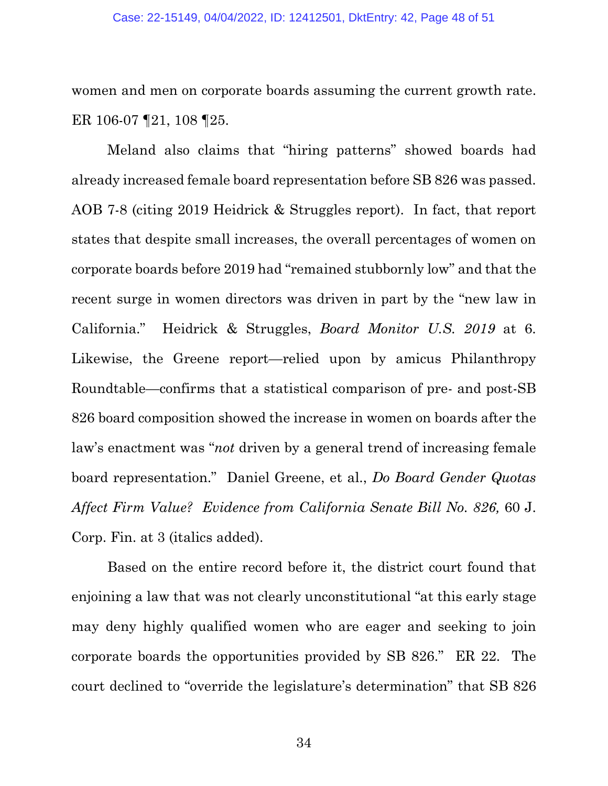women and men on corporate boards assuming the current growth rate. ER 106-07 ¶21, 108 ¶25.

Meland also claims that "hiring patterns" showed boards had already increased female board representation before SB 826 was passed. AOB 7-8 (citing 2019 Heidrick & Struggles report). In fact, that report states that despite small increases, the overall percentages of women on corporate boards before 2019 had "remained stubbornly low" and that the recent surge in women directors was driven in part by the "new law in California." [Heidrick & Struggles,](https://www.google.com/url?sa=t&rct=j&q=&esrc=s&source=web&cd=&ved=2ahUKEwiNrs_3kOj2AhXKIkQIHVtxAbAQFnoECA0QAQ&url=https%3A%2F%2Fwww.heidrick.com%2F-%2Fmedia%2Fheidrickcom%2Fpublications-and-reports%2Fboard_monitor_us_2019.pdf&usg=AOvVaw0I_bSWIX5H8juCQ2aekjOB) *[Board Monitor U.S. 2019](https://www.google.com/url?sa=t&rct=j&q=&esrc=s&source=web&cd=&ved=2ahUKEwiNrs_3kOj2AhXKIkQIHVtxAbAQFnoECA0QAQ&url=https%3A%2F%2Fwww.heidrick.com%2F-%2Fmedia%2Fheidrickcom%2Fpublications-and-reports%2Fboard_monitor_us_2019.pdf&usg=AOvVaw0I_bSWIX5H8juCQ2aekjOB)* at 6. Likewise, the Greene report—relied upon by amicus Philanthropy Roundtable—confirms that a statistical comparison of pre- and post-SB 826 board composition showed the increase in women on boards after the law's enactment was "*not* driven by a general trend of increasing female board representation." Daniel Greene, et al., *[Do Board Gender Quotas](https://papers.ssrn.com/sol3/papers.cfm?abstract_id=3463844)  [Affect Firm Value? Evidence from California Senate Bill No. 826,](https://papers.ssrn.com/sol3/papers.cfm?abstract_id=3463844)* 60 J. [Corp. Fin. a](https://papers.ssrn.com/sol3/papers.cfm?abstract_id=3463844)t 3 (italics added).

Based on the entire record before it, the district court found that enjoining a law that was not clearly unconstitutional "at this early stage may deny highly qualified women who are eager and seeking to join corporate boards the opportunities provided by SB 826." ER 22. The court declined to "override the legislature's determination" that SB 826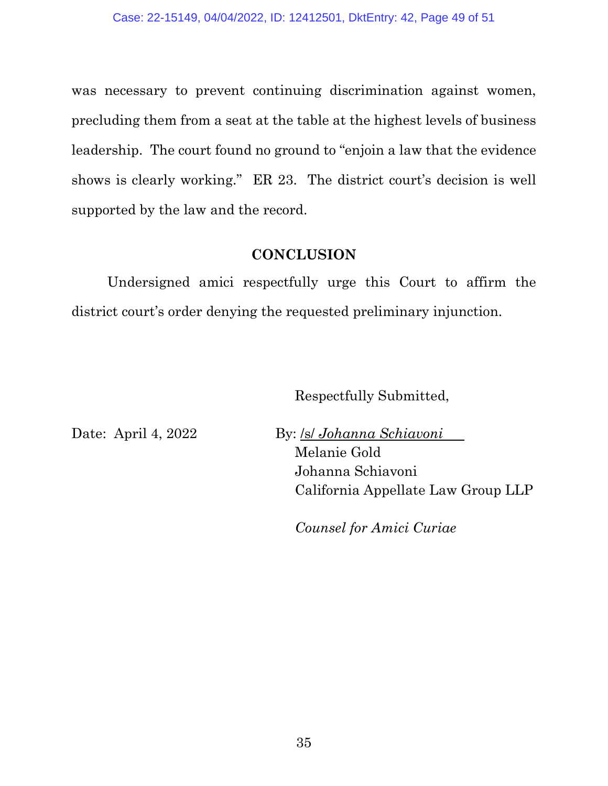was necessary to prevent continuing discrimination against women, precluding them from a seat at the table at the highest levels of business leadership. The court found no ground to "enjoin a law that the evidence shows is clearly working." ER 23. The district court's decision is well supported by the law and the record.

#### **CONCLUSION**

<span id="page-48-0"></span>Undersigned amici respectfully urge this Court to affirm the district court's order denying the requested preliminary injunction.

Respectfully Submitted,

Date: April 4, 2022 By: /s/ *Johanna Schiavoni* Melanie Gold Johanna Schiavoni California Appellate Law Group LLP

*Counsel for Amici Curiae*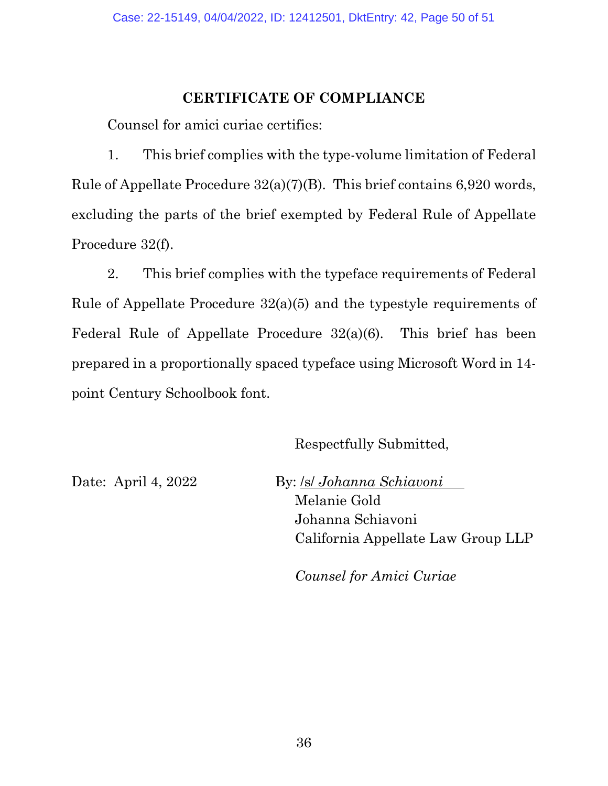#### **CERTIFICATE OF COMPLIANCE**

<span id="page-49-0"></span>Counsel for amici curiae certifies:

1. This brief complies with the type-volume limitation of [Federal](https://www.westlaw.com/Document/NDDB282A0B97711D8983DF34406B5929B/View/FullText.html?transitionType=Default&contextData=(sc.Default)&VR=3.0&RS=da3.0)  [Rule of Appellate Procedure 32\(a\)\(7\)\(B\).](https://www.westlaw.com/Document/NDDB282A0B97711D8983DF34406B5929B/View/FullText.html?transitionType=Default&contextData=(sc.Default)&VR=3.0&RS=da3.0) This brief contains 6,920 words, excluding the parts of the brief exempted by [Federal Rule of Appellate](https://www.westlaw.com/Document/NDDB282A0B97711D8983DF34406B5929B/View/FullText.html?transitionType=Default&contextData=(sc.Default)&VR=3.0&RS=da3.0)  [Procedure 32\(f\).](https://www.westlaw.com/Document/NDDB282A0B97711D8983DF34406B5929B/View/FullText.html?transitionType=Default&contextData=(sc.Default)&VR=3.0&RS=da3.0)

2. This brief complies with the typeface requirements of [Federal](https://www.westlaw.com/Document/NDDB282A0B97711D8983DF34406B5929B/View/FullText.html?transitionType=Default&contextData=(sc.Default)&VR=3.0&RS=da3.0)  [Rule of Appellate Procedure 32\(a\)\(5\)](https://www.westlaw.com/Document/NDDB282A0B97711D8983DF34406B5929B/View/FullText.html?transitionType=Default&contextData=(sc.Default)&VR=3.0&RS=da3.0) and the typestyle requirements of [Federal Rule of Appellate Procedure 32\(a\)\(6\).](https://www.westlaw.com/Document/NDDB282A0B97711D8983DF34406B5929B/View/FullText.html?transitionType=Default&contextData=(sc.Default)&VR=3.0&RS=da3.0) This brief has been prepared in a proportionally spaced typeface using Microsoft Word in 14 point Century Schoolbook font.

Respectfully Submitted,

Date: April 4, 2022 By: /s/ *Johanna Schiavoni*

Melanie Gold Johanna Schiavoni California Appellate Law Group LLP

*Counsel for Amici Curiae*